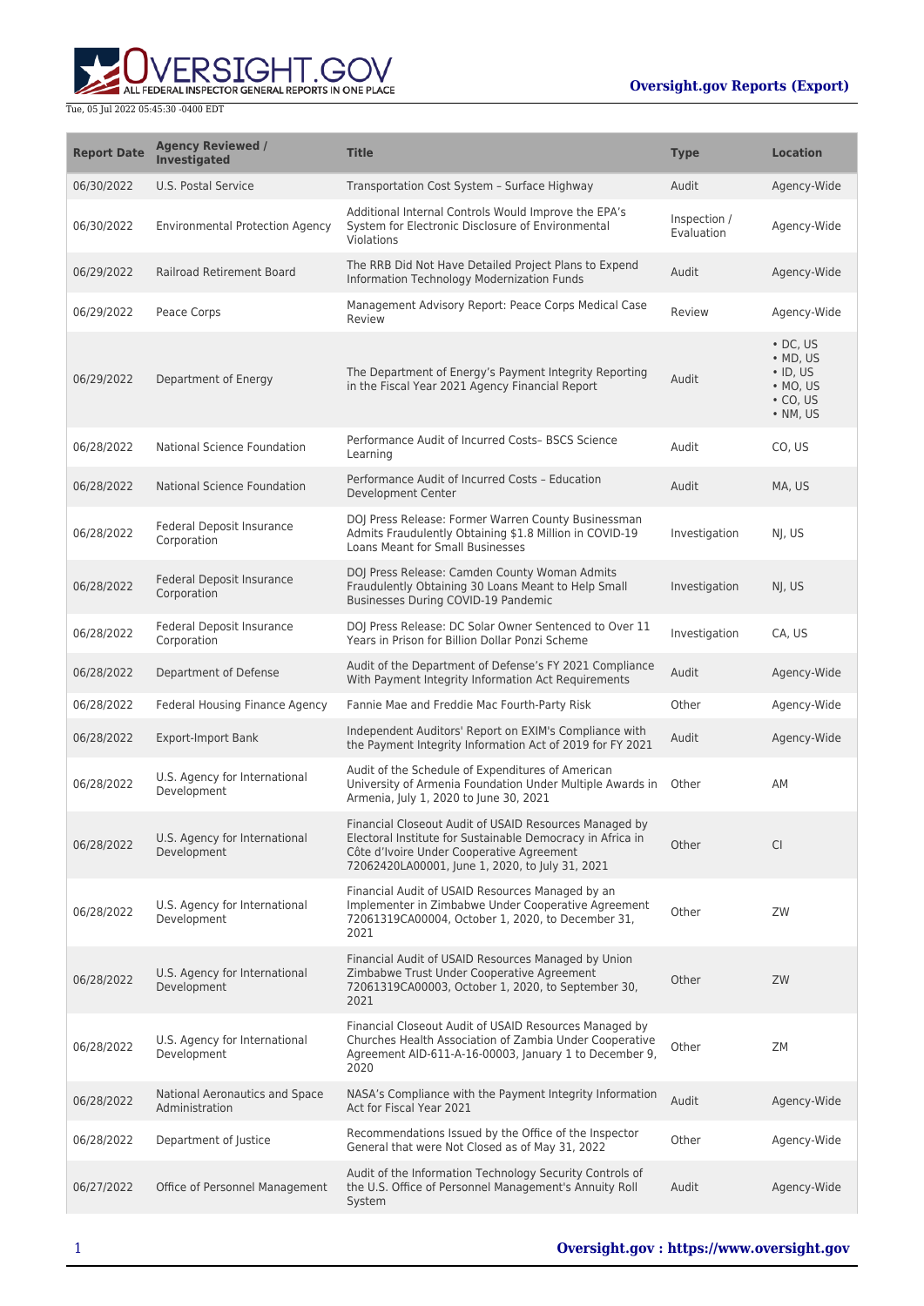ALL FEDERAL INSPECTOR GENERAL REPORTS IN ONE PLACE

| <b>Report Date</b> | <b>Agency Reviewed /</b><br><b>Investigated</b>  | <b>Title</b>                                                                                                                                                                                                         | <b>Type</b>                | <b>Location</b>                                                                                  |
|--------------------|--------------------------------------------------|----------------------------------------------------------------------------------------------------------------------------------------------------------------------------------------------------------------------|----------------------------|--------------------------------------------------------------------------------------------------|
| 06/30/2022         | U.S. Postal Service                              | Transportation Cost System - Surface Highway                                                                                                                                                                         | Audit                      | Agency-Wide                                                                                      |
| 06/30/2022         | <b>Environmental Protection Agency</b>           | Additional Internal Controls Would Improve the EPA's<br>System for Electronic Disclosure of Environmental<br>Violations                                                                                              | Inspection /<br>Evaluation | Agency-Wide                                                                                      |
| 06/29/2022         | Railroad Retirement Board                        | The RRB Did Not Have Detailed Project Plans to Expend<br>Information Technology Modernization Funds                                                                                                                  | Audit                      | Agency-Wide                                                                                      |
| 06/29/2022         | Peace Corps                                      | Management Advisory Report: Peace Corps Medical Case<br>Review                                                                                                                                                       | Review                     | Agency-Wide                                                                                      |
| 06/29/2022         | Department of Energy                             | The Department of Energy's Payment Integrity Reporting<br>in the Fiscal Year 2021 Agency Financial Report                                                                                                            | Audit                      | $\cdot$ DC, US<br>$\bullet$ MD, US<br>$\cdot$ ID, US<br>$·$ MO, US<br>$\cdot$ CO, US<br>• NM, US |
| 06/28/2022         | National Science Foundation                      | Performance Audit of Incurred Costs- BSCS Science<br>Learning                                                                                                                                                        | Audit                      | CO, US                                                                                           |
| 06/28/2022         | National Science Foundation                      | Performance Audit of Incurred Costs - Education<br><b>Development Center</b>                                                                                                                                         | Audit                      | MA, US                                                                                           |
| 06/28/2022         | Federal Deposit Insurance<br>Corporation         | DOJ Press Release: Former Warren County Businessman<br>Admits Fraudulently Obtaining \$1.8 Million in COVID-19<br>Loans Meant for Small Businesses                                                                   | Investigation              | NI, US                                                                                           |
| 06/28/2022         | Federal Deposit Insurance<br>Corporation         | DOJ Press Release: Camden County Woman Admits<br>Fraudulently Obtaining 30 Loans Meant to Help Small<br>Businesses During COVID-19 Pandemic                                                                          | Investigation              | NJ, US                                                                                           |
| 06/28/2022         | Federal Deposit Insurance<br>Corporation         | DOJ Press Release: DC Solar Owner Sentenced to Over 11<br>Years in Prison for Billion Dollar Ponzi Scheme                                                                                                            | Investigation              | CA, US                                                                                           |
| 06/28/2022         | Department of Defense                            | Audit of the Department of Defense's FY 2021 Compliance<br>With Payment Integrity Information Act Requirements                                                                                                       | Audit                      | Agency-Wide                                                                                      |
| 06/28/2022         | Federal Housing Finance Agency                   | Fannie Mae and Freddie Mac Fourth-Party Risk                                                                                                                                                                         | Other                      | Agency-Wide                                                                                      |
| 06/28/2022         | <b>Export-Import Bank</b>                        | Independent Auditors' Report on EXIM's Compliance with<br>the Payment Integrity Information Act of 2019 for FY 2021                                                                                                  | Audit                      | Agency-Wide                                                                                      |
| 06/28/2022         | U.S. Agency for International<br>Development     | Audit of the Schedule of Expenditures of American<br>University of Armenia Foundation Under Multiple Awards in<br>Armenia, July 1, 2020 to June 30, 2021                                                             | Other                      | AM                                                                                               |
| 06/28/2022         | U.S. Agency for International<br>Development     | Financial Closeout Audit of USAID Resources Managed by<br>Electoral Institute for Sustainable Democracy in Africa in<br>Côte d'Ivoire Under Cooperative Agreement<br>72062420LA00001, June 1, 2020, to July 31, 2021 | Other                      | <b>CI</b>                                                                                        |
| 06/28/2022         | U.S. Agency for International<br>Development     | Financial Audit of USAID Resources Managed by an<br>Implementer in Zimbabwe Under Cooperative Agreement<br>72061319CA00004, October 1, 2020, to December 31,<br>2021                                                 | Other                      | ZW                                                                                               |
| 06/28/2022         | U.S. Agency for International<br>Development     | Financial Audit of USAID Resources Managed by Union<br>Zimbabwe Trust Under Cooperative Agreement<br>72061319CA00003, October 1, 2020, to September 30,<br>2021                                                      | Other                      | ZW                                                                                               |
| 06/28/2022         | U.S. Agency for International<br>Development     | Financial Closeout Audit of USAID Resources Managed by<br>Churches Health Association of Zambia Under Cooperative<br>Agreement AID-611-A-16-00003, January 1 to December 9,<br>2020                                  | Other                      | ZM                                                                                               |
| 06/28/2022         | National Aeronautics and Space<br>Administration | NASA's Compliance with the Payment Integrity Information<br>Act for Fiscal Year 2021                                                                                                                                 | Audit                      | Agency-Wide                                                                                      |
| 06/28/2022         | Department of Justice                            | Recommendations Issued by the Office of the Inspector<br>General that were Not Closed as of May 31, 2022                                                                                                             | Other                      | Agency-Wide                                                                                      |
| 06/27/2022         | Office of Personnel Management                   | Audit of the Information Technology Security Controls of<br>the U.S. Office of Personnel Management's Annuity Roll<br>System                                                                                         | Audit                      | Agency-Wide                                                                                      |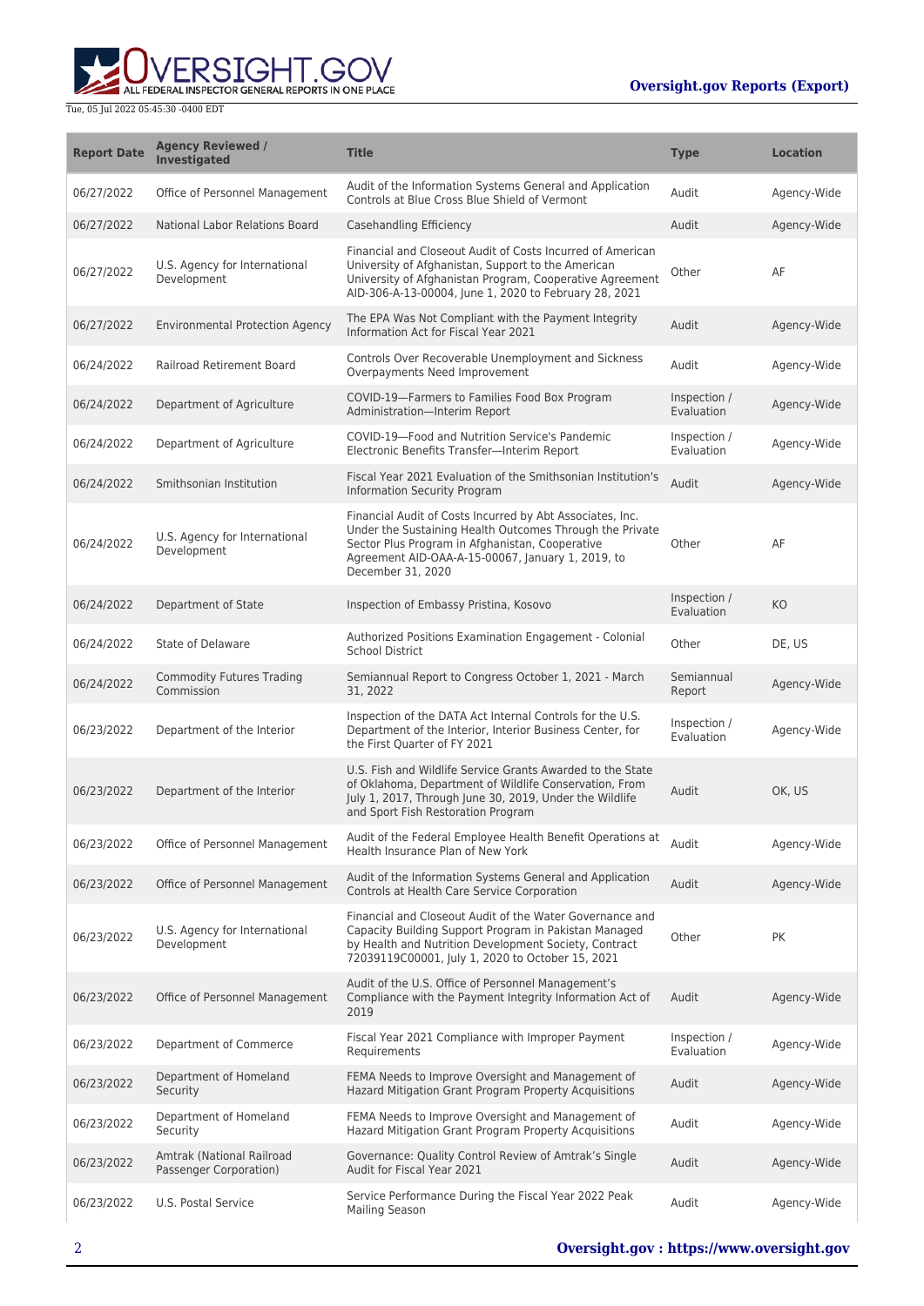

| <b>Report Date</b> | <b>Agency Reviewed /</b><br><b>Investigated</b>     | <b>Title</b>                                                                                                                                                                                                                                       | <b>Type</b>                | <b>Location</b> |
|--------------------|-----------------------------------------------------|----------------------------------------------------------------------------------------------------------------------------------------------------------------------------------------------------------------------------------------------------|----------------------------|-----------------|
| 06/27/2022         | Office of Personnel Management                      | Audit of the Information Systems General and Application<br>Controls at Blue Cross Blue Shield of Vermont                                                                                                                                          | Audit                      | Agency-Wide     |
| 06/27/2022         | National Labor Relations Board                      | Casehandling Efficiency                                                                                                                                                                                                                            | Audit                      | Agency-Wide     |
| 06/27/2022         | U.S. Agency for International<br>Development        | Financial and Closeout Audit of Costs Incurred of American<br>University of Afghanistan, Support to the American<br>University of Afghanistan Program, Cooperative Agreement<br>AID-306-A-13-00004, June 1, 2020 to February 28, 2021              | Other                      | AF              |
| 06/27/2022         | <b>Environmental Protection Agency</b>              | The EPA Was Not Compliant with the Payment Integrity<br>Information Act for Fiscal Year 2021                                                                                                                                                       | Audit                      | Agency-Wide     |
| 06/24/2022         | Railroad Retirement Board                           | Controls Over Recoverable Unemployment and Sickness<br>Overpayments Need Improvement                                                                                                                                                               | Audit                      | Agency-Wide     |
| 06/24/2022         | Department of Agriculture                           | COVID-19-Farmers to Families Food Box Program<br>Administration-Interim Report                                                                                                                                                                     | Inspection /<br>Evaluation | Agency-Wide     |
| 06/24/2022         | Department of Agriculture                           | COVID-19-Food and Nutrition Service's Pandemic<br>Electronic Benefits Transfer-Interim Report                                                                                                                                                      | Inspection /<br>Evaluation | Agency-Wide     |
| 06/24/2022         | Smithsonian Institution                             | Fiscal Year 2021 Evaluation of the Smithsonian Institution's<br>Information Security Program                                                                                                                                                       | Audit                      | Agency-Wide     |
| 06/24/2022         | U.S. Agency for International<br>Development        | Financial Audit of Costs Incurred by Abt Associates, Inc.<br>Under the Sustaining Health Outcomes Through the Private<br>Sector Plus Program in Afghanistan, Cooperative<br>Agreement AID-OAA-A-15-00067, January 1, 2019, to<br>December 31, 2020 | Other                      | AF              |
| 06/24/2022         | Department of State                                 | Inspection of Embassy Pristina, Kosovo                                                                                                                                                                                                             | Inspection /<br>Evaluation | KO              |
| 06/24/2022         | State of Delaware                                   | Authorized Positions Examination Engagement - Colonial<br><b>School District</b>                                                                                                                                                                   | Other                      | DE, US          |
| 06/24/2022         | <b>Commodity Futures Trading</b><br>Commission      | Semiannual Report to Congress October 1, 2021 - March<br>31, 2022                                                                                                                                                                                  | Semiannual<br>Report       | Agency-Wide     |
| 06/23/2022         | Department of the Interior                          | Inspection of the DATA Act Internal Controls for the U.S.<br>Department of the Interior, Interior Business Center, for<br>the First Quarter of FY 2021                                                                                             | Inspection /<br>Evaluation | Agency-Wide     |
| 06/23/2022         | Department of the Interior                          | U.S. Fish and Wildlife Service Grants Awarded to the State<br>of Oklahoma, Department of Wildlife Conservation, From<br>July 1, 2017, Through June 30, 2019, Under the Wildlife<br>and Sport Fish Restoration Program                              | Audit                      | OK, US          |
| 06/23/2022         | Office of Personnel Management                      | Audit of the Federal Employee Health Benefit Operations at<br>Health Insurance Plan of New York                                                                                                                                                    | Audit                      | Agency-Wide     |
| 06/23/2022         | Office of Personnel Management                      | Audit of the Information Systems General and Application<br>Controls at Health Care Service Corporation                                                                                                                                            | Audit                      | Agency-Wide     |
| 06/23/2022         | U.S. Agency for International<br>Development        | Financial and Closeout Audit of the Water Governance and<br>Capacity Building Support Program in Pakistan Managed<br>by Health and Nutrition Development Society, Contract<br>72039119C00001, July 1, 2020 to October 15, 2021                     | Other                      | PK              |
| 06/23/2022         | Office of Personnel Management                      | Audit of the U.S. Office of Personnel Management's<br>Compliance with the Payment Integrity Information Act of<br>2019                                                                                                                             | Audit                      | Agency-Wide     |
| 06/23/2022         | Department of Commerce                              | Fiscal Year 2021 Compliance with Improper Payment<br>Requirements                                                                                                                                                                                  | Inspection /<br>Evaluation | Agency-Wide     |
| 06/23/2022         | Department of Homeland<br>Security                  | FEMA Needs to Improve Oversight and Management of<br>Hazard Mitigation Grant Program Property Acquisitions                                                                                                                                         | Audit                      | Agency-Wide     |
| 06/23/2022         | Department of Homeland<br>Security                  | FEMA Needs to Improve Oversight and Management of<br>Hazard Mitigation Grant Program Property Acquisitions                                                                                                                                         | Audit                      | Agency-Wide     |
| 06/23/2022         | Amtrak (National Railroad<br>Passenger Corporation) | Governance: Quality Control Review of Amtrak's Single<br>Audit for Fiscal Year 2021                                                                                                                                                                | Audit                      | Agency-Wide     |
| 06/23/2022         | U.S. Postal Service                                 | Service Performance During the Fiscal Year 2022 Peak<br><b>Mailing Season</b>                                                                                                                                                                      | Audit                      | Agency-Wide     |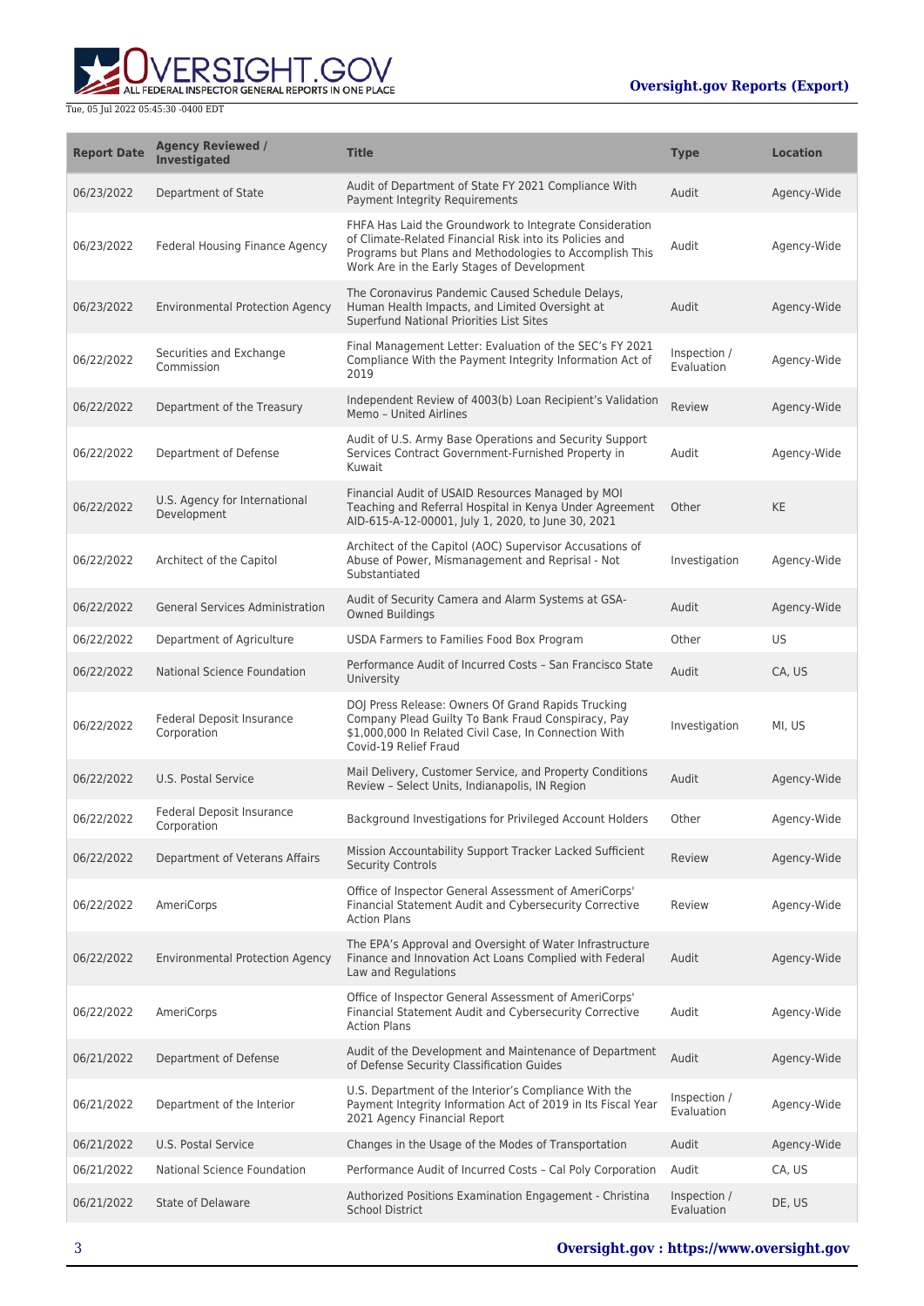

| <b>Report Date</b> | <b>Agency Reviewed /</b><br><b>Investigated</b> | <b>Title</b>                                                                                                                                                                                                                 | <b>Type</b>                | <b>Location</b> |
|--------------------|-------------------------------------------------|------------------------------------------------------------------------------------------------------------------------------------------------------------------------------------------------------------------------------|----------------------------|-----------------|
| 06/23/2022         | Department of State                             | Audit of Department of State FY 2021 Compliance With<br>Payment Integrity Requirements                                                                                                                                       | Audit                      | Agency-Wide     |
| 06/23/2022         | Federal Housing Finance Agency                  | FHFA Has Laid the Groundwork to Integrate Consideration<br>of Climate-Related Financial Risk into its Policies and<br>Programs but Plans and Methodologies to Accomplish This<br>Work Are in the Early Stages of Development | Audit                      | Agency-Wide     |
| 06/23/2022         | <b>Environmental Protection Agency</b>          | The Coronavirus Pandemic Caused Schedule Delays,<br>Human Health Impacts, and Limited Oversight at<br>Superfund National Priorities List Sites                                                                               | Audit                      | Agency-Wide     |
| 06/22/2022         | Securities and Exchange<br>Commission           | Final Management Letter: Evaluation of the SEC's FY 2021<br>Compliance With the Payment Integrity Information Act of<br>2019                                                                                                 | Inspection /<br>Evaluation | Agency-Wide     |
| 06/22/2022         | Department of the Treasury                      | Independent Review of 4003(b) Loan Recipient's Validation<br>Memo - United Airlines                                                                                                                                          | <b>Review</b>              | Agency-Wide     |
| 06/22/2022         | Department of Defense                           | Audit of U.S. Army Base Operations and Security Support<br>Services Contract Government-Furnished Property in<br>Kuwait                                                                                                      | Audit                      | Agency-Wide     |
| 06/22/2022         | U.S. Agency for International<br>Development    | Financial Audit of USAID Resources Managed by MOI<br>Teaching and Referral Hospital in Kenya Under Agreement<br>AID-615-A-12-00001, July 1, 2020, to June 30, 2021                                                           | Other                      | <b>KE</b>       |
| 06/22/2022         | Architect of the Capitol                        | Architect of the Capitol (AOC) Supervisor Accusations of<br>Abuse of Power, Mismanagement and Reprisal - Not<br>Substantiated                                                                                                | Investigation              | Agency-Wide     |
| 06/22/2022         | <b>General Services Administration</b>          | Audit of Security Camera and Alarm Systems at GSA-<br>Owned Buildings                                                                                                                                                        | Audit                      | Agency-Wide     |
| 06/22/2022         | Department of Agriculture                       | USDA Farmers to Families Food Box Program                                                                                                                                                                                    | Other                      | US              |
| 06/22/2022         | National Science Foundation                     | Performance Audit of Incurred Costs - San Francisco State<br>University                                                                                                                                                      | Audit                      | CA, US          |
| 06/22/2022         | Federal Deposit Insurance<br>Corporation        | DOJ Press Release: Owners Of Grand Rapids Trucking<br>Company Plead Guilty To Bank Fraud Conspiracy, Pay<br>\$1,000,000 In Related Civil Case, In Connection With<br>Covid-19 Relief Fraud                                   | Investigation              | MI, US          |
| 06/22/2022         | U.S. Postal Service                             | Mail Delivery, Customer Service, and Property Conditions<br>Review - Select Units, Indianapolis, IN Region                                                                                                                   | Audit                      | Agency-Wide     |
| 06/22/2022         | Federal Deposit Insurance<br>Corporation        | Background Investigations for Privileged Account Holders                                                                                                                                                                     | Other                      | Agency-Wide     |
| 06/22/2022         | Department of Veterans Affairs                  | Mission Accountability Support Tracker Lacked Sufficient<br><b>Security Controls</b>                                                                                                                                         | Review                     | Agency-Wide     |
| 06/22/2022         | AmeriCorps                                      | Office of Inspector General Assessment of AmeriCorps'<br>Financial Statement Audit and Cybersecurity Corrective<br><b>Action Plans</b>                                                                                       | Review                     | Agency-Wide     |
| 06/22/2022         | <b>Environmental Protection Agency</b>          | The EPA's Approval and Oversight of Water Infrastructure<br>Finance and Innovation Act Loans Complied with Federal<br>Law and Regulations                                                                                    | Audit                      | Agency-Wide     |
| 06/22/2022         | AmeriCorps                                      | Office of Inspector General Assessment of AmeriCorps'<br>Financial Statement Audit and Cybersecurity Corrective<br><b>Action Plans</b>                                                                                       | Audit                      | Agency-Wide     |
| 06/21/2022         | Department of Defense                           | Audit of the Development and Maintenance of Department<br>of Defense Security Classification Guides                                                                                                                          | Audit                      | Agency-Wide     |
| 06/21/2022         | Department of the Interior                      | U.S. Department of the Interior's Compliance With the<br>Payment Integrity Information Act of 2019 in Its Fiscal Year<br>2021 Agency Financial Report                                                                        | Inspection /<br>Evaluation | Agency-Wide     |
| 06/21/2022         | U.S. Postal Service                             | Changes in the Usage of the Modes of Transportation                                                                                                                                                                          | Audit                      | Agency-Wide     |
| 06/21/2022         | National Science Foundation                     | Performance Audit of Incurred Costs - Cal Poly Corporation                                                                                                                                                                   | Audit                      | CA, US          |
| 06/21/2022         | <b>State of Delaware</b>                        | Authorized Positions Examination Engagement - Christina<br><b>School District</b>                                                                                                                                            | Inspection /<br>Evaluation | DE, US          |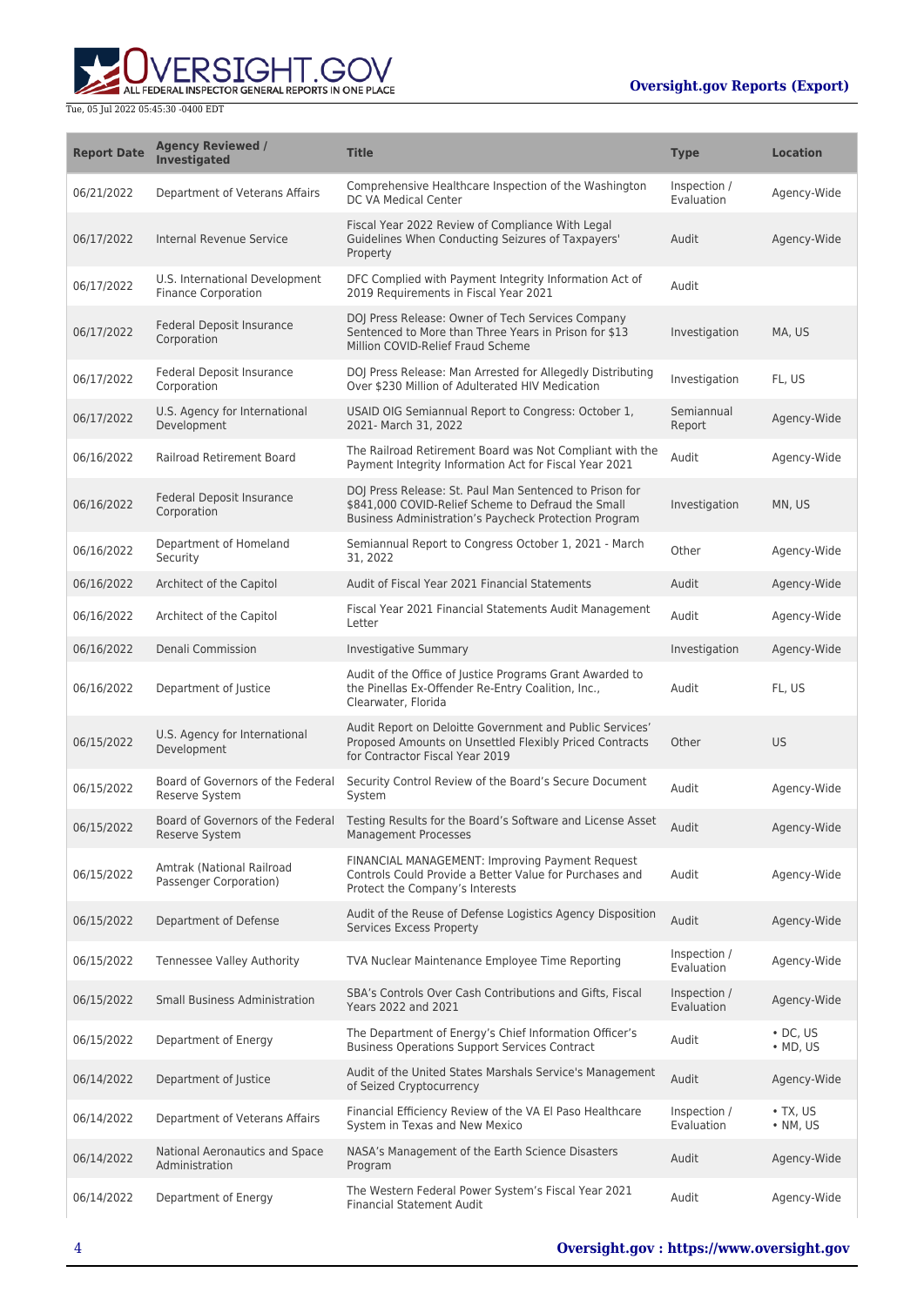**WERSIGHT.GOV** 

| <b>Report Date</b> | <b>Agency Reviewed /</b><br>Investigated                     | <b>Title</b>                                                                                                                                                           | <b>Type</b>                | <b>Location</b>                    |
|--------------------|--------------------------------------------------------------|------------------------------------------------------------------------------------------------------------------------------------------------------------------------|----------------------------|------------------------------------|
| 06/21/2022         | Department of Veterans Affairs                               | Comprehensive Healthcare Inspection of the Washington<br>DC VA Medical Center                                                                                          | Inspection /<br>Evaluation | Agency-Wide                        |
| 06/17/2022         | Internal Revenue Service                                     | Fiscal Year 2022 Review of Compliance With Legal<br>Guidelines When Conducting Seizures of Taxpayers'<br>Property                                                      | Audit                      | Agency-Wide                        |
| 06/17/2022         | U.S. International Development<br><b>Finance Corporation</b> | DFC Complied with Payment Integrity Information Act of<br>2019 Requirements in Fiscal Year 2021                                                                        | Audit                      |                                    |
| 06/17/2022         | Federal Deposit Insurance<br>Corporation                     | DOJ Press Release: Owner of Tech Services Company<br>Sentenced to More than Three Years in Prison for \$13<br>Million COVID-Relief Fraud Scheme                        | Investigation              | MA, US                             |
| 06/17/2022         | Federal Deposit Insurance<br>Corporation                     | DOJ Press Release: Man Arrested for Allegedly Distributing<br>Over \$230 Million of Adulterated HIV Medication                                                         | Investigation              | FL, US                             |
| 06/17/2022         | U.S. Agency for International<br>Development                 | USAID OIG Semiannual Report to Congress: October 1,<br>2021- March 31, 2022                                                                                            | Semiannual<br>Report       | Agency-Wide                        |
| 06/16/2022         | <b>Railroad Retirement Board</b>                             | The Railroad Retirement Board was Not Compliant with the<br>Payment Integrity Information Act for Fiscal Year 2021                                                     | Audit                      | Agency-Wide                        |
| 06/16/2022         | Federal Deposit Insurance<br>Corporation                     | DOJ Press Release: St. Paul Man Sentenced to Prison for<br>\$841,000 COVID-Relief Scheme to Defraud the Small<br>Business Administration's Paycheck Protection Program | Investigation              | MN, US                             |
| 06/16/2022         | Department of Homeland<br>Security                           | Semiannual Report to Congress October 1, 2021 - March<br>31, 2022                                                                                                      | Other                      | Agency-Wide                        |
| 06/16/2022         | Architect of the Capitol                                     | Audit of Fiscal Year 2021 Financial Statements                                                                                                                         | Audit                      | Agency-Wide                        |
| 06/16/2022         | Architect of the Capitol                                     | Fiscal Year 2021 Financial Statements Audit Management<br>Letter                                                                                                       | Audit                      | Agency-Wide                        |
| 06/16/2022         | Denali Commission                                            | <b>Investigative Summary</b>                                                                                                                                           | Investigation              | Agency-Wide                        |
| 06/16/2022         | Department of Justice                                        | Audit of the Office of Justice Programs Grant Awarded to<br>the Pinellas Ex-Offender Re-Entry Coalition, Inc.,<br>Clearwater, Florida                                  | Audit                      | FL, US                             |
| 06/15/2022         | U.S. Agency for International<br>Development                 | Audit Report on Deloitte Government and Public Services'<br>Proposed Amounts on Unsettled Flexibly Priced Contracts<br>for Contractor Fiscal Year 2019                 | Other                      | <b>US</b>                          |
| 06/15/2022         | Board of Governors of the Federal<br>Reserve System          | Security Control Review of the Board's Secure Document<br>System                                                                                                       | Audit                      | Agency-Wide                        |
| 06/15/2022         | Board of Governors of the Federal<br>Reserve System          | Testing Results for the Board's Software and License Asset<br>Management Processes                                                                                     | Audit                      | Agency-Wide                        |
| 06/15/2022         | Amtrak (National Railroad<br>Passenger Corporation)          | FINANCIAL MANAGEMENT: Improving Payment Request<br>Controls Could Provide a Better Value for Purchases and<br>Protect the Company's Interests                          | Audit                      | Agency-Wide                        |
| 06/15/2022         | Department of Defense                                        | Audit of the Reuse of Defense Logistics Agency Disposition<br>Services Excess Property                                                                                 | Audit                      | Agency-Wide                        |
| 06/15/2022         | <b>Tennessee Valley Authority</b>                            | TVA Nuclear Maintenance Employee Time Reporting                                                                                                                        | Inspection /<br>Evaluation | Agency-Wide                        |
| 06/15/2022         | <b>Small Business Administration</b>                         | SBA's Controls Over Cash Contributions and Gifts, Fiscal<br>Years 2022 and 2021                                                                                        | Inspection /<br>Evaluation | Agency-Wide                        |
| 06/15/2022         | Department of Energy                                         | The Department of Energy's Chief Information Officer's<br><b>Business Operations Support Services Contract</b>                                                         | Audit                      | $\cdot$ DC. US<br>$\bullet$ MD, US |
| 06/14/2022         | Department of Justice                                        | Audit of the United States Marshals Service's Management<br>of Seized Cryptocurrency                                                                                   | Audit                      | Agency-Wide                        |
| 06/14/2022         | Department of Veterans Affairs                               | Financial Efficiency Review of the VA El Paso Healthcare<br>System in Texas and New Mexico                                                                             | Inspection /<br>Evaluation | $\cdot$ TX, US<br>$\cdot$ NM, US   |
| 06/14/2022         | National Aeronautics and Space<br>Administration             | NASA's Management of the Earth Science Disasters<br>Program                                                                                                            | Audit                      | Agency-Wide                        |
| 06/14/2022         | Department of Energy                                         | The Western Federal Power System's Fiscal Year 2021<br><b>Financial Statement Audit</b>                                                                                | Audit                      | Agency-Wide                        |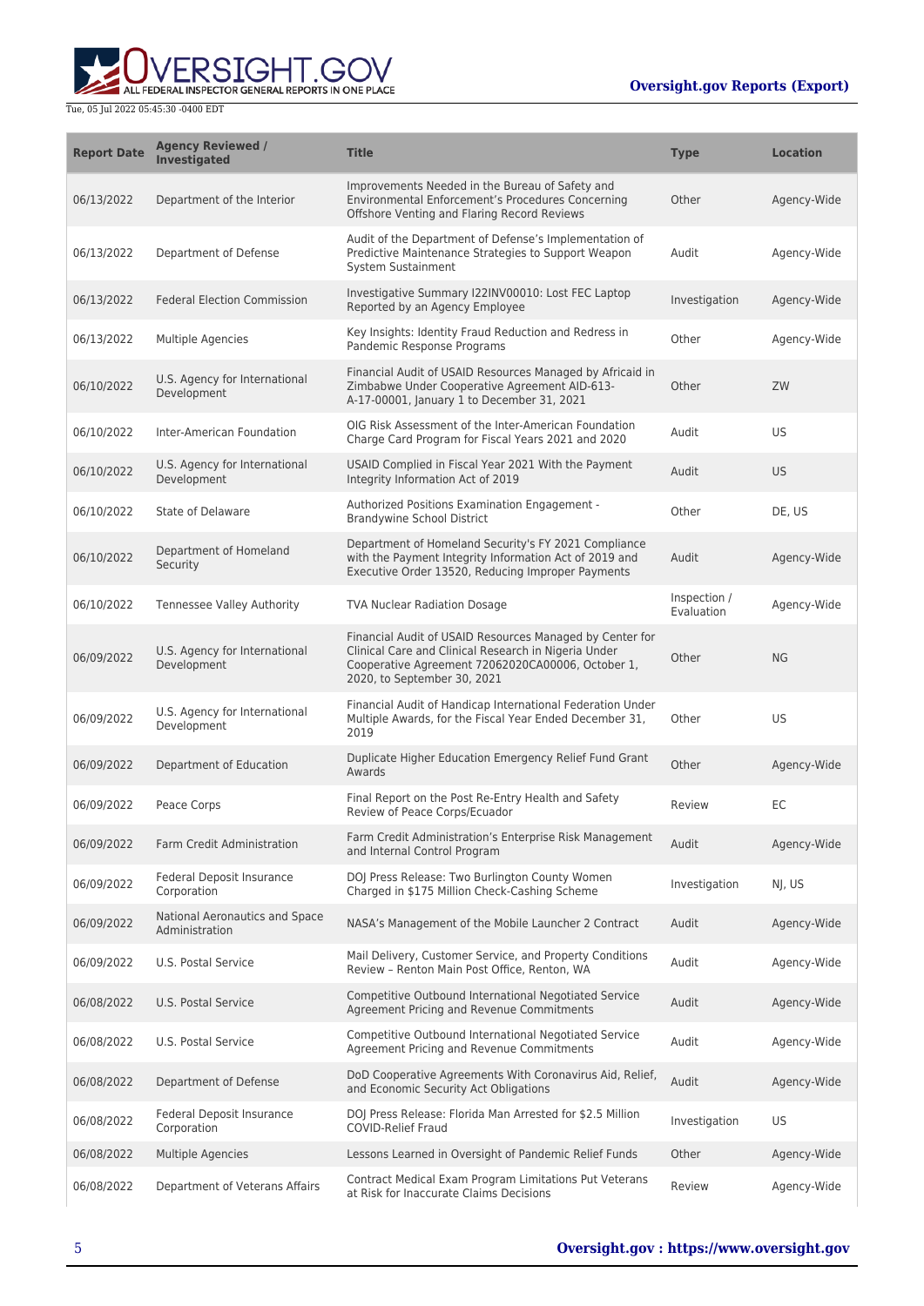

| <b>Report Date</b> | <b>Agency Reviewed /</b><br><b>Investigated</b>  | <b>Title</b>                                                                                                                                                                                         | Type                       | <b>Location</b> |
|--------------------|--------------------------------------------------|------------------------------------------------------------------------------------------------------------------------------------------------------------------------------------------------------|----------------------------|-----------------|
| 06/13/2022         | Department of the Interior                       | Improvements Needed in the Bureau of Safety and<br>Environmental Enforcement's Procedures Concerning<br>Offshore Venting and Flaring Record Reviews                                                  | Other                      | Agency-Wide     |
| 06/13/2022         | Department of Defense                            | Audit of the Department of Defense's Implementation of<br>Predictive Maintenance Strategies to Support Weapon<br>System Sustainment                                                                  | Audit                      | Agency-Wide     |
| 06/13/2022         | <b>Federal Election Commission</b>               | Investigative Summary I22INV00010: Lost FEC Laptop<br>Reported by an Agency Employee                                                                                                                 | Investigation              | Agency-Wide     |
| 06/13/2022         | Multiple Agencies                                | Key Insights: Identity Fraud Reduction and Redress in<br>Pandemic Response Programs                                                                                                                  | Other                      | Agency-Wide     |
| 06/10/2022         | U.S. Agency for International<br>Development     | Financial Audit of USAID Resources Managed by Africaid in<br>Zimbabwe Under Cooperative Agreement AID-613-<br>A-17-00001, January 1 to December 31, 2021                                             | Other                      | ZW              |
| 06/10/2022         | Inter-American Foundation                        | OIG Risk Assessment of the Inter-American Foundation<br>Charge Card Program for Fiscal Years 2021 and 2020                                                                                           | Audit                      | US              |
| 06/10/2022         | U.S. Agency for International<br>Development     | USAID Complied in Fiscal Year 2021 With the Payment<br>Integrity Information Act of 2019                                                                                                             | Audit                      | <b>US</b>       |
| 06/10/2022         | State of Delaware                                | Authorized Positions Examination Engagement -<br><b>Brandywine School District</b>                                                                                                                   | Other                      | DE, US          |
| 06/10/2022         | Department of Homeland<br>Security               | Department of Homeland Security's FY 2021 Compliance<br>with the Payment Integrity Information Act of 2019 and<br>Executive Order 13520, Reducing Improper Payments                                  | Audit                      | Agency-Wide     |
| 06/10/2022         | Tennessee Valley Authority                       | <b>TVA Nuclear Radiation Dosage</b>                                                                                                                                                                  | Inspection /<br>Evaluation | Agency-Wide     |
| 06/09/2022         | U.S. Agency for International<br>Development     | Financial Audit of USAID Resources Managed by Center for<br>Clinical Care and Clinical Research in Nigeria Under<br>Cooperative Agreement 72062020CA00006, October 1,<br>2020, to September 30, 2021 | Other                      | NG              |
| 06/09/2022         | U.S. Agency for International<br>Development     | Financial Audit of Handicap International Federation Under<br>Multiple Awards, for the Fiscal Year Ended December 31,<br>2019                                                                        | Other                      | US              |
| 06/09/2022         | Department of Education                          | Duplicate Higher Education Emergency Relief Fund Grant<br>Awards                                                                                                                                     | Other                      | Agency-Wide     |
| 06/09/2022         | Peace Corps                                      | Final Report on the Post Re-Entry Health and Safety<br>Review of Peace Corps/Ecuador                                                                                                                 | Review                     | ЕC              |
| 06/09/2022         | <b>Farm Credit Administration</b>                | Farm Credit Administration's Enterprise Risk Management<br>and Internal Control Program                                                                                                              | Audit                      | Agency-Wide     |
| 06/09/2022         | Federal Deposit Insurance<br>Corporation         | DOJ Press Release: Two Burlington County Women<br>Charged in \$175 Million Check-Cashing Scheme                                                                                                      | Investigation              | NI, US          |
| 06/09/2022         | National Aeronautics and Space<br>Administration | NASA's Management of the Mobile Launcher 2 Contract                                                                                                                                                  | Audit                      | Agency-Wide     |
| 06/09/2022         | U.S. Postal Service                              | Mail Delivery, Customer Service, and Property Conditions<br>Review - Renton Main Post Office, Renton, WA                                                                                             | Audit                      | Agency-Wide     |
| 06/08/2022         | U.S. Postal Service                              | Competitive Outbound International Negotiated Service<br>Agreement Pricing and Revenue Commitments                                                                                                   | Audit                      | Agency-Wide     |
| 06/08/2022         | U.S. Postal Service                              | Competitive Outbound International Negotiated Service<br>Agreement Pricing and Revenue Commitments                                                                                                   | Audit                      | Agency-Wide     |
| 06/08/2022         | Department of Defense                            | DoD Cooperative Agreements With Coronavirus Aid, Relief,<br>and Economic Security Act Obligations                                                                                                    | Audit                      | Agency-Wide     |
| 06/08/2022         | Federal Deposit Insurance<br>Corporation         | DOJ Press Release: Florida Man Arrested for \$2.5 Million<br><b>COVID-Relief Fraud</b>                                                                                                               | Investigation              | US              |
| 06/08/2022         | <b>Multiple Agencies</b>                         | Lessons Learned in Oversight of Pandemic Relief Funds                                                                                                                                                | Other                      | Agency-Wide     |
| 06/08/2022         | Department of Veterans Affairs                   | Contract Medical Exam Program Limitations Put Veterans<br>at Risk for Inaccurate Claims Decisions                                                                                                    | Review                     | Agency-Wide     |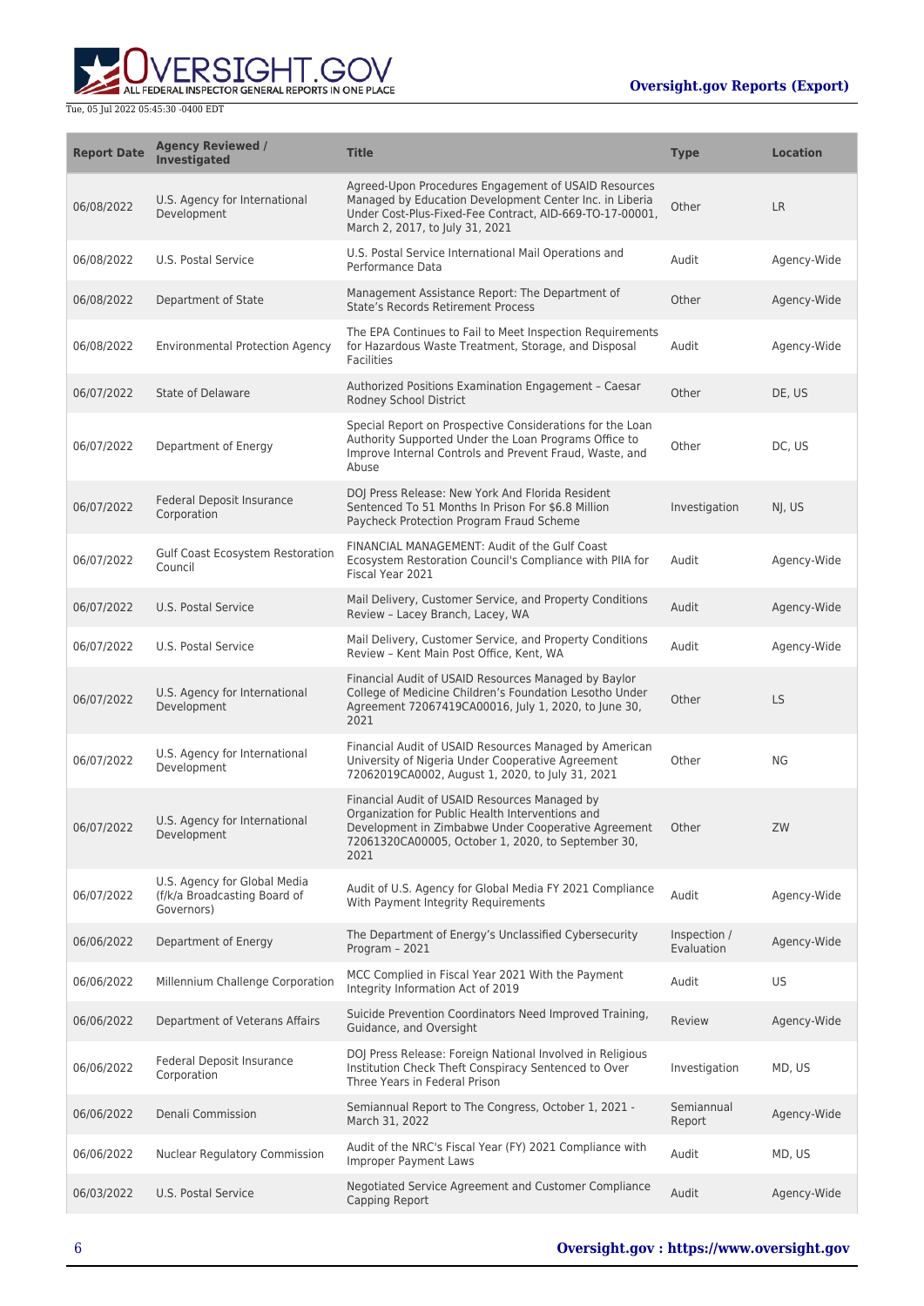

| <b>Report Date</b> | <b>Agency Reviewed /</b><br><b>Investigated</b>                            | <b>Title</b>                                                                                                                                                                                                           | <b>Type</b>                | <b>Location</b> |
|--------------------|----------------------------------------------------------------------------|------------------------------------------------------------------------------------------------------------------------------------------------------------------------------------------------------------------------|----------------------------|-----------------|
| 06/08/2022         | U.S. Agency for International<br>Development                               | Agreed-Upon Procedures Engagement of USAID Resources<br>Managed by Education Development Center Inc. in Liberia<br>Under Cost-Plus-Fixed-Fee Contract, AID-669-TO-17-00001,<br>March 2, 2017, to July 31, 2021         | Other                      | <b>LR</b>       |
| 06/08/2022         | U.S. Postal Service                                                        | U.S. Postal Service International Mail Operations and<br>Performance Data                                                                                                                                              | Audit                      | Agency-Wide     |
| 06/08/2022         | Department of State                                                        | Management Assistance Report: The Department of<br><b>State's Records Retirement Process</b>                                                                                                                           | Other                      | Agency-Wide     |
| 06/08/2022         | <b>Environmental Protection Agency</b>                                     | The EPA Continues to Fail to Meet Inspection Requirements<br>for Hazardous Waste Treatment, Storage, and Disposal<br><b>Facilities</b>                                                                                 | Audit                      | Agency-Wide     |
| 06/07/2022         | State of Delaware                                                          | Authorized Positions Examination Engagement - Caesar<br>Rodney School District                                                                                                                                         | Other                      | DE, US          |
| 06/07/2022         | Department of Energy                                                       | Special Report on Prospective Considerations for the Loan<br>Authority Supported Under the Loan Programs Office to<br>Improve Internal Controls and Prevent Fraud, Waste, and<br>Abuse                                 | Other                      | DC, US          |
| 06/07/2022         | Federal Deposit Insurance<br>Corporation                                   | DOJ Press Release: New York And Florida Resident<br>Sentenced To 51 Months In Prison For \$6.8 Million<br>Paycheck Protection Program Fraud Scheme                                                                     | Investigation              | NJ, US          |
| 06/07/2022         | Gulf Coast Ecosystem Restoration<br>Council                                | FINANCIAL MANAGEMENT: Audit of the Gulf Coast<br>Ecosystem Restoration Council's Compliance with PIIA for<br>Fiscal Year 2021                                                                                          | Audit                      | Agency-Wide     |
| 06/07/2022         | U.S. Postal Service                                                        | Mail Delivery, Customer Service, and Property Conditions<br>Review - Lacey Branch, Lacey, WA                                                                                                                           | Audit                      | Agency-Wide     |
| 06/07/2022         | U.S. Postal Service                                                        | Mail Delivery, Customer Service, and Property Conditions<br>Review - Kent Main Post Office, Kent, WA                                                                                                                   | Audit                      | Agency-Wide     |
| 06/07/2022         | U.S. Agency for International<br>Development                               | Financial Audit of USAID Resources Managed by Baylor<br>College of Medicine Children's Foundation Lesotho Under<br>Agreement 72067419CA00016, July 1, 2020, to June 30,<br>2021                                        | Other                      | <b>LS</b>       |
| 06/07/2022         | U.S. Agency for International<br>Development                               | Financial Audit of USAID Resources Managed by American<br>University of Nigeria Under Cooperative Agreement<br>72062019CA0002, August 1, 2020, to July 31, 2021                                                        | Other                      | ΝG              |
| 06/07/2022         | U.S. Agency for International<br>Development                               | Financial Audit of USAID Resources Managed by<br>Organization for Public Health Interventions and<br>Development in Zimbabwe Under Cooperative Agreement<br>72061320CA00005, October 1, 2020, to September 30,<br>2021 | Other                      | ZW              |
| 06/07/2022         | U.S. Agency for Global Media<br>(f/k/a Broadcasting Board of<br>Governors) | Audit of U.S. Agency for Global Media FY 2021 Compliance<br>With Payment Integrity Requirements                                                                                                                        | Audit                      | Agency-Wide     |
| 06/06/2022         | Department of Energy                                                       | The Department of Energy's Unclassified Cybersecurity<br>Program - 2021                                                                                                                                                | Inspection /<br>Evaluation | Agency-Wide     |
| 06/06/2022         | Millennium Challenge Corporation                                           | MCC Complied in Fiscal Year 2021 With the Payment<br>Integrity Information Act of 2019                                                                                                                                 | Audit                      | US              |
| 06/06/2022         | Department of Veterans Affairs                                             | Suicide Prevention Coordinators Need Improved Training,<br>Guidance, and Oversight                                                                                                                                     | Review                     | Agency-Wide     |
| 06/06/2022         | Federal Deposit Insurance<br>Corporation                                   | DOJ Press Release: Foreign National Involved in Religious<br>Institution Check Theft Conspiracy Sentenced to Over<br>Three Years in Federal Prison                                                                     | Investigation              | MD, US          |
| 06/06/2022         | Denali Commission                                                          | Semiannual Report to The Congress, October 1, 2021 -<br>March 31, 2022                                                                                                                                                 | Semiannual<br>Report       | Agency-Wide     |
| 06/06/2022         | Nuclear Regulatory Commission                                              | Audit of the NRC's Fiscal Year (FY) 2021 Compliance with<br><b>Improper Payment Laws</b>                                                                                                                               | Audit                      | MD, US          |
| 06/03/2022         | U.S. Postal Service                                                        | Negotiated Service Agreement and Customer Compliance<br>Capping Report                                                                                                                                                 | Audit                      | Agency-Wide     |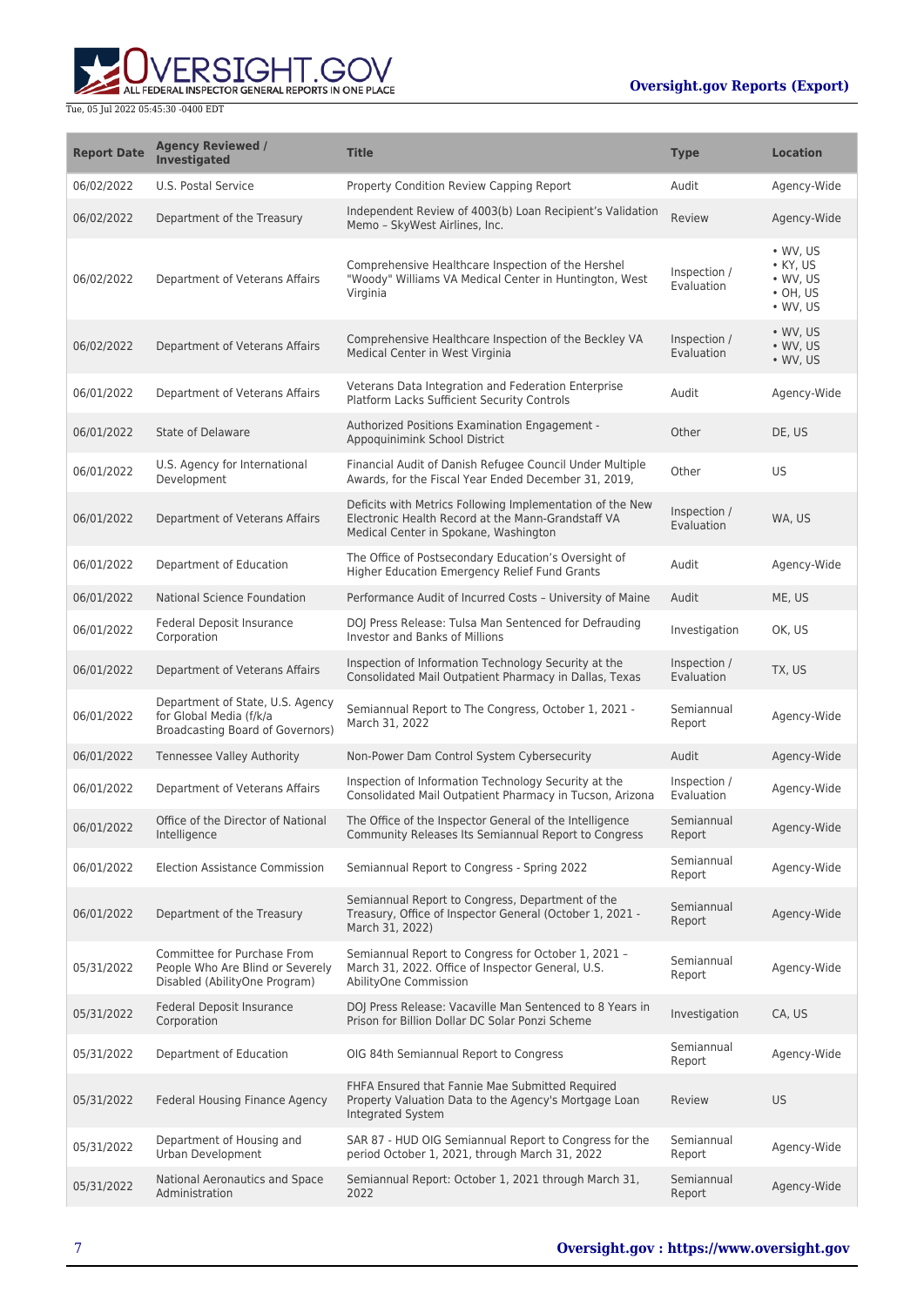ALL FEDERAL INSPECTOR GENERAL REPORTS IN ONE PLACE

| <b>Report Date</b> | <b>Agency Reviewed /</b><br><b>Investigated</b>                                                  | <b>Title</b>                                                                                                                                             | <b>Type</b>                | <b>Location</b>                                                                        |
|--------------------|--------------------------------------------------------------------------------------------------|----------------------------------------------------------------------------------------------------------------------------------------------------------|----------------------------|----------------------------------------------------------------------------------------|
| 06/02/2022         | U.S. Postal Service                                                                              | Property Condition Review Capping Report                                                                                                                 | Audit                      | Agency-Wide                                                                            |
| 06/02/2022         | Department of the Treasury                                                                       | Independent Review of 4003(b) Loan Recipient's Validation<br>Memo - SkyWest Airlines, Inc.                                                               | Review                     | Agency-Wide                                                                            |
| 06/02/2022         | Department of Veterans Affairs                                                                   | Comprehensive Healthcare Inspection of the Hershel<br>"Woody" Williams VA Medical Center in Huntington, West<br>Virginia                                 | Inspection /<br>Evaluation | $\bullet$ WV, US<br>$\bullet$ KY, US<br>• WV, US<br>$\cdot$ OH, US<br>$\bullet$ WV, US |
| 06/02/2022         | Department of Veterans Affairs                                                                   | Comprehensive Healthcare Inspection of the Beckley VA<br>Medical Center in West Virginia                                                                 | Inspection /<br>Evaluation | $\bullet$ WV, US<br>$\bullet$ WV, US<br>$\bullet$ WV, US                               |
| 06/01/2022         | Department of Veterans Affairs                                                                   | Veterans Data Integration and Federation Enterprise<br>Platform Lacks Sufficient Security Controls                                                       | Audit                      | Agency-Wide                                                                            |
| 06/01/2022         | State of Delaware                                                                                | Authorized Positions Examination Engagement -<br>Appoquinimink School District                                                                           | Other                      | DE, US                                                                                 |
| 06/01/2022         | U.S. Agency for International<br>Development                                                     | Financial Audit of Danish Refugee Council Under Multiple<br>Awards, for the Fiscal Year Ended December 31, 2019,                                         | Other                      | <b>US</b>                                                                              |
| 06/01/2022         | Department of Veterans Affairs                                                                   | Deficits with Metrics Following Implementation of the New<br>Electronic Health Record at the Mann-Grandstaff VA<br>Medical Center in Spokane, Washington | Inspection /<br>Evaluation | WA, US                                                                                 |
| 06/01/2022         | Department of Education                                                                          | The Office of Postsecondary Education's Oversight of<br>Higher Education Emergency Relief Fund Grants                                                    | Audit                      | Agency-Wide                                                                            |
| 06/01/2022         | National Science Foundation                                                                      | Performance Audit of Incurred Costs - University of Maine                                                                                                | Audit                      | ME, US                                                                                 |
| 06/01/2022         | Federal Deposit Insurance<br>Corporation                                                         | DOJ Press Release: Tulsa Man Sentenced for Defrauding<br><b>Investor and Banks of Millions</b>                                                           | Investigation              | OK, US                                                                                 |
| 06/01/2022         | Department of Veterans Affairs                                                                   | Inspection of Information Technology Security at the<br>Consolidated Mail Outpatient Pharmacy in Dallas, Texas                                           | Inspection /<br>Evaluation | TX, US                                                                                 |
| 06/01/2022         | Department of State, U.S. Agency<br>for Global Media (f/k/a<br>Broadcasting Board of Governors)  | Semiannual Report to The Congress, October 1, 2021 -<br>March 31, 2022                                                                                   | Semiannual<br>Report       | Agency-Wide                                                                            |
| 06/01/2022         | <b>Tennessee Valley Authority</b>                                                                | Non-Power Dam Control System Cybersecurity                                                                                                               | Audit                      | Agency-Wide                                                                            |
| 06/01/2022         | Department of Veterans Affairs                                                                   | Inspection of Information Technology Security at the<br>Consolidated Mail Outpatient Pharmacy in Tucson, Arizona                                         | Inspection /<br>Evaluation | Agency-Wide                                                                            |
| 06/01/2022         | Office of the Director of National<br>Intelligence                                               | The Office of the Inspector General of the Intelligence<br>Community Releases Its Semiannual Report to Congress                                          | Semiannual<br>Report       | Agency-Wide                                                                            |
| 06/01/2022         | <b>Election Assistance Commission</b>                                                            | Semiannual Report to Congress - Spring 2022                                                                                                              | Semiannual<br>Report       | Agency-Wide                                                                            |
| 06/01/2022         | Department of the Treasury                                                                       | Semiannual Report to Congress, Department of the<br>Treasury, Office of Inspector General (October 1, 2021 -<br>March 31, 2022)                          | Semiannual<br>Report       | Agency-Wide                                                                            |
| 05/31/2022         | Committee for Purchase From<br>People Who Are Blind or Severely<br>Disabled (AbilityOne Program) | Semiannual Report to Congress for October 1, 2021 -<br>March 31, 2022. Office of Inspector General, U.S.<br>AbilityOne Commission                        | Semiannual<br>Report       | Agency-Wide                                                                            |
| 05/31/2022         | Federal Deposit Insurance<br>Corporation                                                         | DOJ Press Release: Vacaville Man Sentenced to 8 Years in<br>Prison for Billion Dollar DC Solar Ponzi Scheme                                              | Investigation              | CA, US                                                                                 |
| 05/31/2022         | Department of Education                                                                          | OIG 84th Semiannual Report to Congress                                                                                                                   | Semiannual<br>Report       | Agency-Wide                                                                            |
| 05/31/2022         | Federal Housing Finance Agency                                                                   | FHFA Ensured that Fannie Mae Submitted Required<br>Property Valuation Data to the Agency's Mortgage Loan<br>Integrated System                            | Review                     | <b>US</b>                                                                              |
| 05/31/2022         | Department of Housing and<br>Urban Development                                                   | SAR 87 - HUD OIG Semiannual Report to Congress for the<br>period October 1, 2021, through March 31, 2022                                                 | Semiannual<br>Report       | Agency-Wide                                                                            |
| 05/31/2022         | National Aeronautics and Space<br>Administration                                                 | Semiannual Report: October 1, 2021 through March 31,<br>2022                                                                                             | Semiannual<br>Report       | Agency-Wide                                                                            |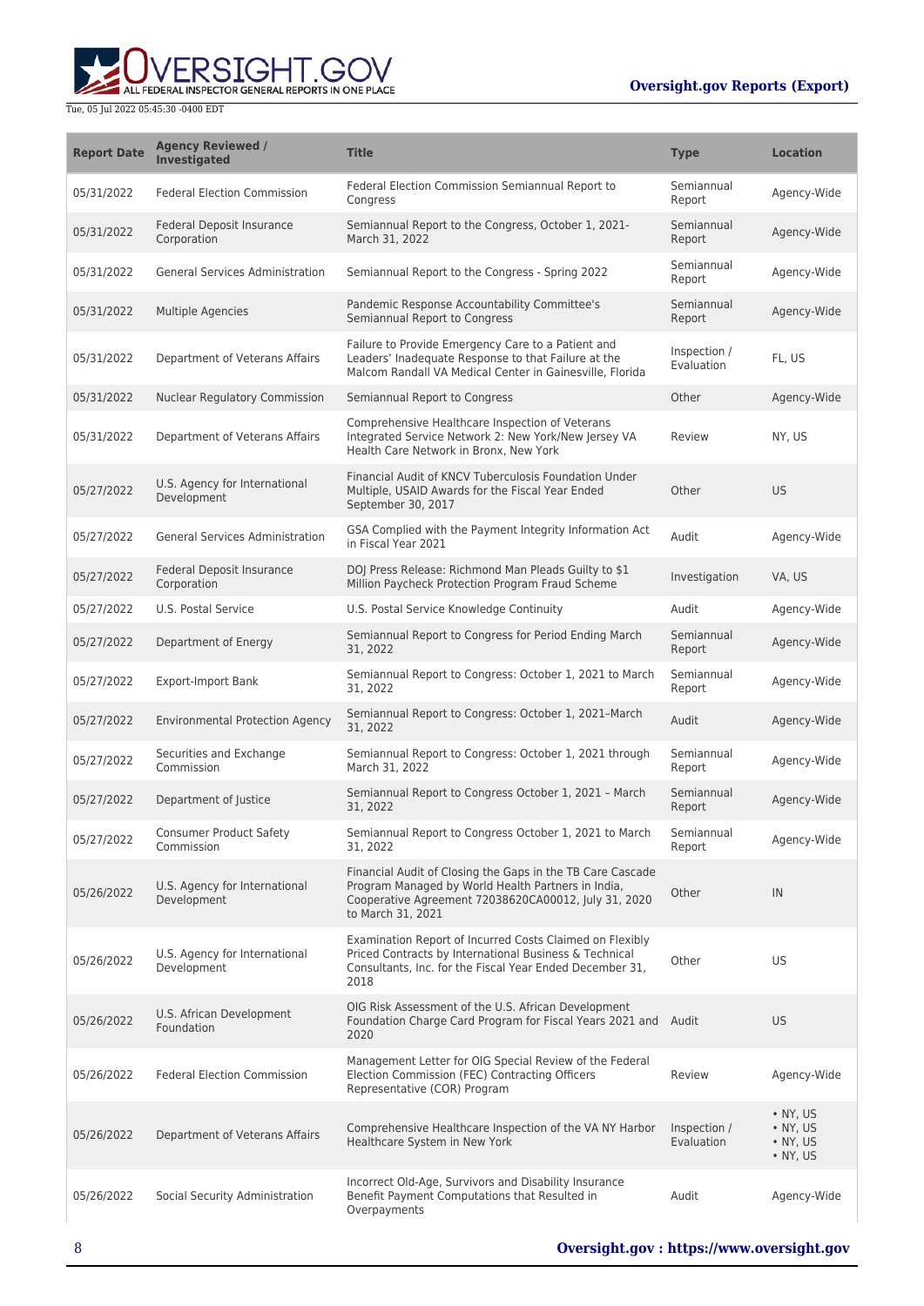

| <b>Report Date</b> | <b>Agency Reviewed /</b><br><b>Investigated</b> | <b>Title</b>                                                                                                                                                                                  | <b>Type</b>                | <b>Location</b>                                                              |
|--------------------|-------------------------------------------------|-----------------------------------------------------------------------------------------------------------------------------------------------------------------------------------------------|----------------------------|------------------------------------------------------------------------------|
| 05/31/2022         | <b>Federal Election Commission</b>              | Federal Election Commission Semiannual Report to<br>Congress                                                                                                                                  | Semiannual<br>Report       | Agency-Wide                                                                  |
| 05/31/2022         | Federal Deposit Insurance<br>Corporation        | Semiannual Report to the Congress, October 1, 2021-<br>March 31, 2022                                                                                                                         | Semiannual<br>Report       | Agency-Wide                                                                  |
| 05/31/2022         | <b>General Services Administration</b>          | Semiannual Report to the Congress - Spring 2022                                                                                                                                               | Semiannual<br>Report       | Agency-Wide                                                                  |
| 05/31/2022         | <b>Multiple Agencies</b>                        | Pandemic Response Accountability Committee's<br>Semiannual Report to Congress                                                                                                                 | Semiannual<br>Report       | Agency-Wide                                                                  |
| 05/31/2022         | Department of Veterans Affairs                  | Failure to Provide Emergency Care to a Patient and<br>Leaders' Inadequate Response to that Failure at the<br>Malcom Randall VA Medical Center in Gainesville, Florida                         | Inspection /<br>Evaluation | FL, US                                                                       |
| 05/31/2022         | <b>Nuclear Regulatory Commission</b>            | Semiannual Report to Congress                                                                                                                                                                 | Other                      | Agency-Wide                                                                  |
| 05/31/2022         | Department of Veterans Affairs                  | Comprehensive Healthcare Inspection of Veterans<br>Integrated Service Network 2: New York/New Jersey VA<br>Health Care Network in Bronx, New York                                             | Review                     | NY, US                                                                       |
| 05/27/2022         | U.S. Agency for International<br>Development    | Financial Audit of KNCV Tuberculosis Foundation Under<br>Multiple, USAID Awards for the Fiscal Year Ended<br>September 30, 2017                                                               | Other                      | <b>US</b>                                                                    |
| 05/27/2022         | <b>General Services Administration</b>          | GSA Complied with the Payment Integrity Information Act<br>in Fiscal Year 2021                                                                                                                | Audit                      | Agency-Wide                                                                  |
| 05/27/2022         | Federal Deposit Insurance<br>Corporation        | DOJ Press Release: Richmond Man Pleads Guilty to \$1<br>Million Paycheck Protection Program Fraud Scheme                                                                                      | Investigation              | VA, US                                                                       |
| 05/27/2022         | U.S. Postal Service                             | U.S. Postal Service Knowledge Continuity                                                                                                                                                      | Audit                      | Agency-Wide                                                                  |
| 05/27/2022         | Department of Energy                            | Semiannual Report to Congress for Period Ending March<br>31, 2022                                                                                                                             | Semiannual<br>Report       | Agency-Wide                                                                  |
| 05/27/2022         | <b>Export-Import Bank</b>                       | Semiannual Report to Congress: October 1, 2021 to March<br>31, 2022                                                                                                                           | Semiannual<br>Report       | Agency-Wide                                                                  |
| 05/27/2022         | <b>Environmental Protection Agency</b>          | Semiannual Report to Congress: October 1, 2021-March<br>31, 2022                                                                                                                              | Audit                      | Agency-Wide                                                                  |
| 05/27/2022         | Securities and Exchange<br>Commission           | Semiannual Report to Congress: October 1, 2021 through<br>March 31, 2022                                                                                                                      | Semiannual<br>Report       | Agency-Wide                                                                  |
| 05/27/2022         | Department of Justice                           | Semiannual Report to Congress October 1, 2021 - March<br>31, 2022                                                                                                                             | Semiannual<br>Report       | Agency-Wide                                                                  |
| 05/27/2022         | <b>Consumer Product Safety</b><br>Commission    | Semiannual Report to Congress October 1, 2021 to March<br>31, 2022                                                                                                                            | Semiannual<br>Report       | Agency-Wide                                                                  |
| 05/26/2022         | U.S. Agency for International<br>Development    | Financial Audit of Closing the Gaps in the TB Care Cascade<br>Program Managed by World Health Partners in India,<br>Cooperative Agreement 72038620CA00012, July 31, 2020<br>to March 31, 2021 | Other                      | IN                                                                           |
| 05/26/2022         | U.S. Agency for International<br>Development    | Examination Report of Incurred Costs Claimed on Flexibly<br>Priced Contracts by International Business & Technical<br>Consultants, Inc. for the Fiscal Year Ended December 31,<br>2018        | Other                      | US                                                                           |
| 05/26/2022         | U.S. African Development<br>Foundation          | OIG Risk Assessment of the U.S. African Development<br>Foundation Charge Card Program for Fiscal Years 2021 and Audit<br>2020                                                                 |                            | <b>US</b>                                                                    |
| 05/26/2022         | <b>Federal Election Commission</b>              | Management Letter for OIG Special Review of the Federal<br>Election Commission (FEC) Contracting Officers<br>Representative (COR) Program                                                     | Review                     | Agency-Wide                                                                  |
| 05/26/2022         | Department of Veterans Affairs                  | Comprehensive Healthcare Inspection of the VA NY Harbor<br>Healthcare System in New York                                                                                                      | Inspection /<br>Evaluation | $\bullet$ NY, US<br>$\bullet$ NY, US<br>$\bullet$ NY, US<br>$\bullet$ NY, US |
| 05/26/2022         | Social Security Administration                  | Incorrect Old-Age, Survivors and Disability Insurance<br>Benefit Payment Computations that Resulted in<br>Overpayments                                                                        | Audit                      | Agency-Wide                                                                  |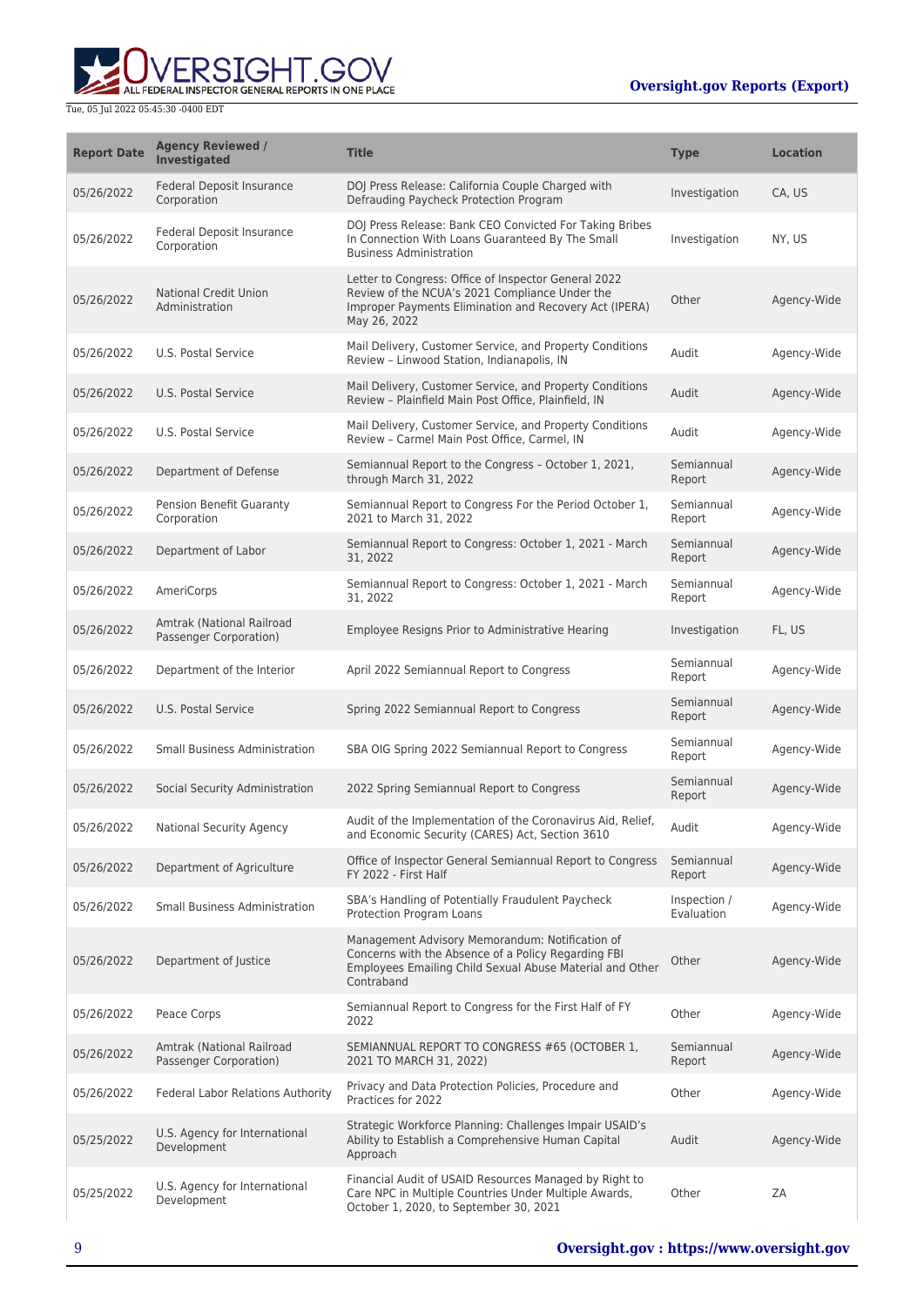

| <b>Report Date</b> | <b>Agency Reviewed /</b><br><b>Investigated</b>     | <b>Title</b>                                                                                                                                                                     | <b>Type</b>                | <b>Location</b> |
|--------------------|-----------------------------------------------------|----------------------------------------------------------------------------------------------------------------------------------------------------------------------------------|----------------------------|-----------------|
| 05/26/2022         | <b>Federal Deposit Insurance</b><br>Corporation     | DOJ Press Release: California Couple Charged with<br>Defrauding Paycheck Protection Program                                                                                      | Investigation              | CA, US          |
| 05/26/2022         | Federal Deposit Insurance<br>Corporation            | DOJ Press Release: Bank CEO Convicted For Taking Bribes<br>In Connection With Loans Guaranteed By The Small<br><b>Business Administration</b>                                    | Investigation              | NY, US          |
| 05/26/2022         | <b>National Credit Union</b><br>Administration      | Letter to Congress: Office of Inspector General 2022<br>Review of the NCUA's 2021 Compliance Under the<br>Improper Payments Elimination and Recovery Act (IPERA)<br>May 26, 2022 | Other                      | Agency-Wide     |
| 05/26/2022         | U.S. Postal Service                                 | Mail Delivery, Customer Service, and Property Conditions<br>Review - Linwood Station, Indianapolis, IN                                                                           | Audit                      | Agency-Wide     |
| 05/26/2022         | U.S. Postal Service                                 | Mail Delivery, Customer Service, and Property Conditions<br>Review - Plainfield Main Post Office, Plainfield, IN                                                                 | Audit                      | Agency-Wide     |
| 05/26/2022         | U.S. Postal Service                                 | Mail Delivery, Customer Service, and Property Conditions<br>Review - Carmel Main Post Office, Carmel, IN                                                                         | Audit                      | Agency-Wide     |
| 05/26/2022         | Department of Defense                               | Semiannual Report to the Congress - October 1, 2021,<br>through March 31, 2022                                                                                                   | Semiannual<br>Report       | Agency-Wide     |
| 05/26/2022         | Pension Benefit Guaranty<br>Corporation             | Semiannual Report to Congress For the Period October 1,<br>2021 to March 31, 2022                                                                                                | Semiannual<br>Report       | Agency-Wide     |
| 05/26/2022         | Department of Labor                                 | Semiannual Report to Congress: October 1, 2021 - March<br>31, 2022                                                                                                               | Semiannual<br>Report       | Agency-Wide     |
| 05/26/2022         | AmeriCorps                                          | Semiannual Report to Congress: October 1, 2021 - March<br>31, 2022                                                                                                               | Semiannual<br>Report       | Agency-Wide     |
| 05/26/2022         | Amtrak (National Railroad<br>Passenger Corporation) | Employee Resigns Prior to Administrative Hearing                                                                                                                                 | Investigation              | FL, US          |
| 05/26/2022         | Department of the Interior                          | April 2022 Semiannual Report to Congress                                                                                                                                         | Semiannual<br>Report       | Agency-Wide     |
| 05/26/2022         | U.S. Postal Service                                 | Spring 2022 Semiannual Report to Congress                                                                                                                                        | Semiannual<br>Report       | Agency-Wide     |
| 05/26/2022         | <b>Small Business Administration</b>                | SBA OIG Spring 2022 Semiannual Report to Congress                                                                                                                                | Semiannual<br>Report       | Agency-Wide     |
| 05/26/2022         | Social Security Administration                      | 2022 Spring Semiannual Report to Congress                                                                                                                                        | Semiannual<br>Report       | Agency-Wide     |
| 05/26/2022         | National Security Agency                            | Audit of the Implementation of the Coronavirus Aid, Relief,<br>and Economic Security (CARES) Act, Section 3610                                                                   | Audit                      | Agency-Wide     |
| 05/26/2022         | Department of Agriculture                           | Office of Inspector General Semiannual Report to Congress<br>FY 2022 - First Half                                                                                                | Semiannual<br>Report       | Agency-Wide     |
| 05/26/2022         | <b>Small Business Administration</b>                | SBA's Handling of Potentially Fraudulent Paycheck<br>Protection Program Loans                                                                                                    | Inspection /<br>Evaluation | Agency-Wide     |
| 05/26/2022         | Department of Justice                               | Management Advisory Memorandum: Notification of<br>Concerns with the Absence of a Policy Regarding FBI<br>Employees Emailing Child Sexual Abuse Material and Other<br>Contraband | Other                      | Agency-Wide     |
| 05/26/2022         | Peace Corps                                         | Semiannual Report to Congress for the First Half of FY<br>2022                                                                                                                   | Other                      | Agency-Wide     |
| 05/26/2022         | Amtrak (National Railroad<br>Passenger Corporation) | SEMIANNUAL REPORT TO CONGRESS #65 (OCTOBER 1,<br>2021 TO MARCH 31, 2022)                                                                                                         | Semiannual<br>Report       | Agency-Wide     |
| 05/26/2022         | <b>Federal Labor Relations Authority</b>            | Privacy and Data Protection Policies, Procedure and<br>Practices for 2022                                                                                                        | Other                      | Agency-Wide     |
| 05/25/2022         | U.S. Agency for International<br>Development        | Strategic Workforce Planning: Challenges Impair USAID's<br>Ability to Establish a Comprehensive Human Capital<br>Approach                                                        | Audit                      | Agency-Wide     |
| 05/25/2022         | U.S. Agency for International<br>Development        | Financial Audit of USAID Resources Managed by Right to<br>Care NPC in Multiple Countries Under Multiple Awards,<br>October 1, 2020, to September 30, 2021                        | Other                      | ZΑ              |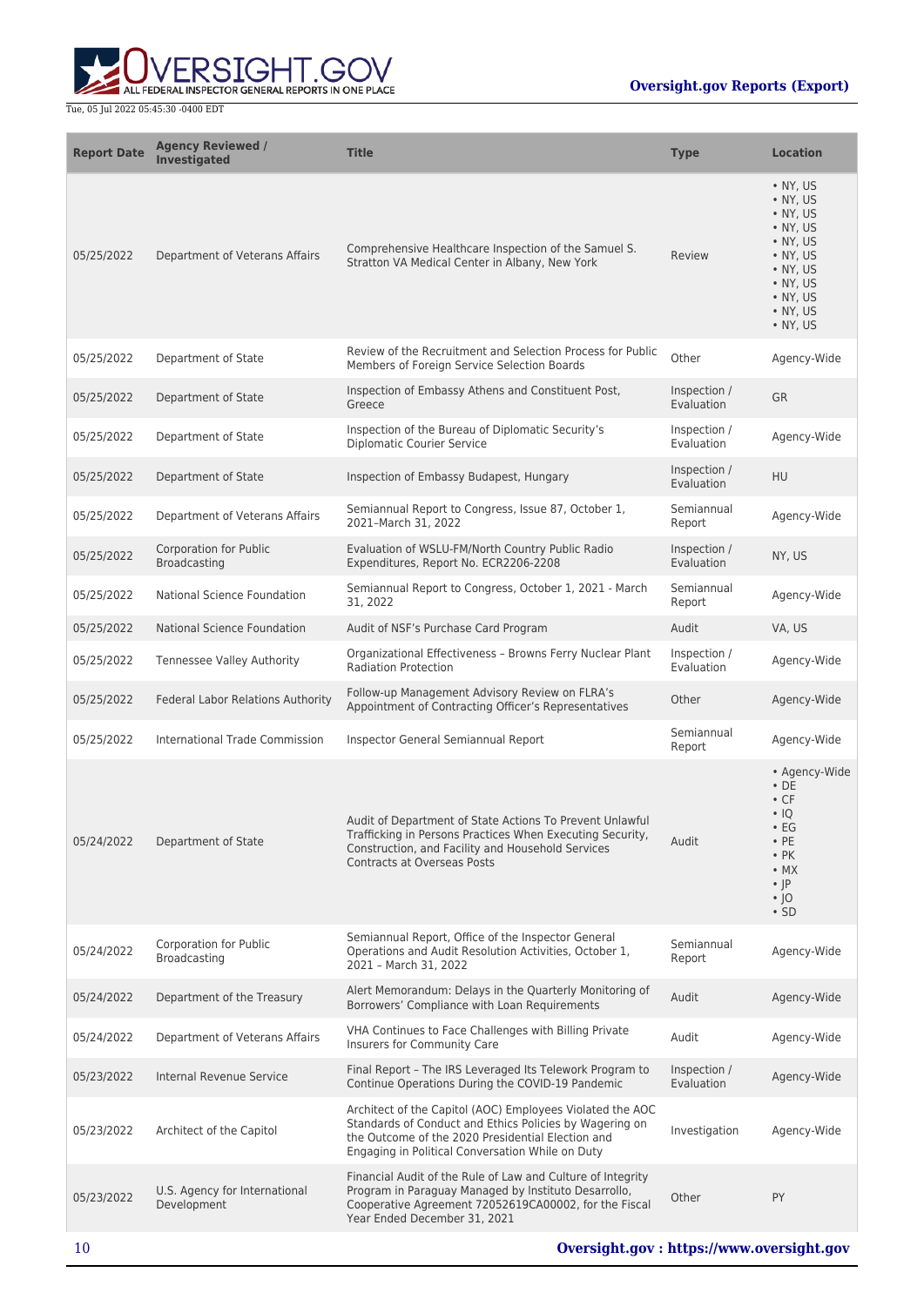

| <b>Report Date</b> | <b>Agency Reviewed /</b><br><b>Investigated</b> | <b>Title</b>                                                                                                                                                                                                                  | <b>Type</b>                | <b>Location</b>                                                                                                                                                                                                  |
|--------------------|-------------------------------------------------|-------------------------------------------------------------------------------------------------------------------------------------------------------------------------------------------------------------------------------|----------------------------|------------------------------------------------------------------------------------------------------------------------------------------------------------------------------------------------------------------|
| 05/25/2022         | Department of Veterans Affairs                  | Comprehensive Healthcare Inspection of the Samuel S.<br>Stratton VA Medical Center in Albany, New York                                                                                                                        | Review                     | • NY, US<br>$\bullet$ NY, US<br>$\bullet$ NY, US<br>$\bullet$ NY, US<br>$\bullet$ NY, US<br>$\bullet$ NY, US<br>$\bullet$ NY, US<br>$\bullet$ NY, US<br>$\bullet$ NY, US<br>$\bullet$ NY, US<br>$\bullet$ NY, US |
| 05/25/2022         | Department of State                             | Review of the Recruitment and Selection Process for Public<br>Members of Foreign Service Selection Boards                                                                                                                     | Other                      | Agency-Wide                                                                                                                                                                                                      |
| 05/25/2022         | Department of State                             | Inspection of Embassy Athens and Constituent Post,<br>Greece                                                                                                                                                                  | Inspection /<br>Evaluation | <b>GR</b>                                                                                                                                                                                                        |
| 05/25/2022         | Department of State                             | Inspection of the Bureau of Diplomatic Security's<br><b>Diplomatic Courier Service</b>                                                                                                                                        | Inspection /<br>Evaluation | Agency-Wide                                                                                                                                                                                                      |
| 05/25/2022         | Department of State                             | Inspection of Embassy Budapest, Hungary                                                                                                                                                                                       | Inspection /<br>Evaluation | <b>HU</b>                                                                                                                                                                                                        |
| 05/25/2022         | Department of Veterans Affairs                  | Semiannual Report to Congress, Issue 87, October 1,<br>2021-March 31, 2022                                                                                                                                                    | Semiannual<br>Report       | Agency-Wide                                                                                                                                                                                                      |
| 05/25/2022         | <b>Corporation for Public</b><br>Broadcasting   | Evaluation of WSLU-FM/North Country Public Radio<br>Expenditures, Report No. ECR2206-2208                                                                                                                                     | Inspection /<br>Evaluation | NY, US                                                                                                                                                                                                           |
| 05/25/2022         | National Science Foundation                     | Semiannual Report to Congress, October 1, 2021 - March<br>31, 2022                                                                                                                                                            | Semiannual<br>Report       | Agency-Wide                                                                                                                                                                                                      |
| 05/25/2022         | <b>National Science Foundation</b>              | Audit of NSF's Purchase Card Program                                                                                                                                                                                          | Audit                      | VA, US                                                                                                                                                                                                           |
| 05/25/2022         | Tennessee Valley Authority                      | Organizational Effectiveness - Browns Ferry Nuclear Plant<br><b>Radiation Protection</b>                                                                                                                                      | Inspection /<br>Evaluation | Agency-Wide                                                                                                                                                                                                      |
| 05/25/2022         | Federal Labor Relations Authority               | Follow-up Management Advisory Review on FLRA's<br>Appointment of Contracting Officer's Representatives                                                                                                                        | Other                      | Agency-Wide                                                                                                                                                                                                      |
| 05/25/2022         | International Trade Commission                  | Inspector General Semiannual Report                                                                                                                                                                                           | Semiannual<br>Report       | Agency-Wide                                                                                                                                                                                                      |
| 05/24/2022         | Department of State                             | Audit of Department of State Actions To Prevent Unlawful<br>Trafficking in Persons Practices When Executing Security,<br>Construction, and Facility and Household Services<br><b>Contracts at Overseas Posts</b>              | Audit                      | • Agency-Wide<br>$\cdot$ DE<br>$\cdot$ CF<br>$\cdot$ IQ<br>$\cdot$ EG<br>$\cdot$ PE<br>$\cdot$ PK<br>$\bullet$ MX<br>$\cdot$  P<br>$\cdot$  O<br>$\cdot$ SD                                                      |
| 05/24/2022         | Corporation for Public<br><b>Broadcasting</b>   | Semiannual Report, Office of the Inspector General<br>Operations and Audit Resolution Activities, October 1,<br>2021 - March 31, 2022                                                                                         | Semiannual<br>Report       | Agency-Wide                                                                                                                                                                                                      |
| 05/24/2022         | Department of the Treasury                      | Alert Memorandum: Delays in the Quarterly Monitoring of<br>Borrowers' Compliance with Loan Requirements                                                                                                                       | Audit                      | Agency-Wide                                                                                                                                                                                                      |
| 05/24/2022         | Department of Veterans Affairs                  | VHA Continues to Face Challenges with Billing Private<br>Insurers for Community Care                                                                                                                                          | Audit                      | Agency-Wide                                                                                                                                                                                                      |
| 05/23/2022         | Internal Revenue Service                        | Final Report - The IRS Leveraged Its Telework Program to<br>Continue Operations During the COVID-19 Pandemic                                                                                                                  | Inspection /<br>Evaluation | Agency-Wide                                                                                                                                                                                                      |
| 05/23/2022         | Architect of the Capitol                        | Architect of the Capitol (AOC) Employees Violated the AOC<br>Standards of Conduct and Ethics Policies by Wagering on<br>the Outcome of the 2020 Presidential Election and<br>Engaging in Political Conversation While on Duty | Investigation              | Agency-Wide                                                                                                                                                                                                      |
| 05/23/2022         | U.S. Agency for International<br>Development    | Financial Audit of the Rule of Law and Culture of Integrity<br>Program in Paraguay Managed by Instituto Desarrollo,<br>Cooperative Agreement 72052619CA00002, for the Fiscal<br>Year Ended December 31, 2021                  | Other                      | PY                                                                                                                                                                                                               |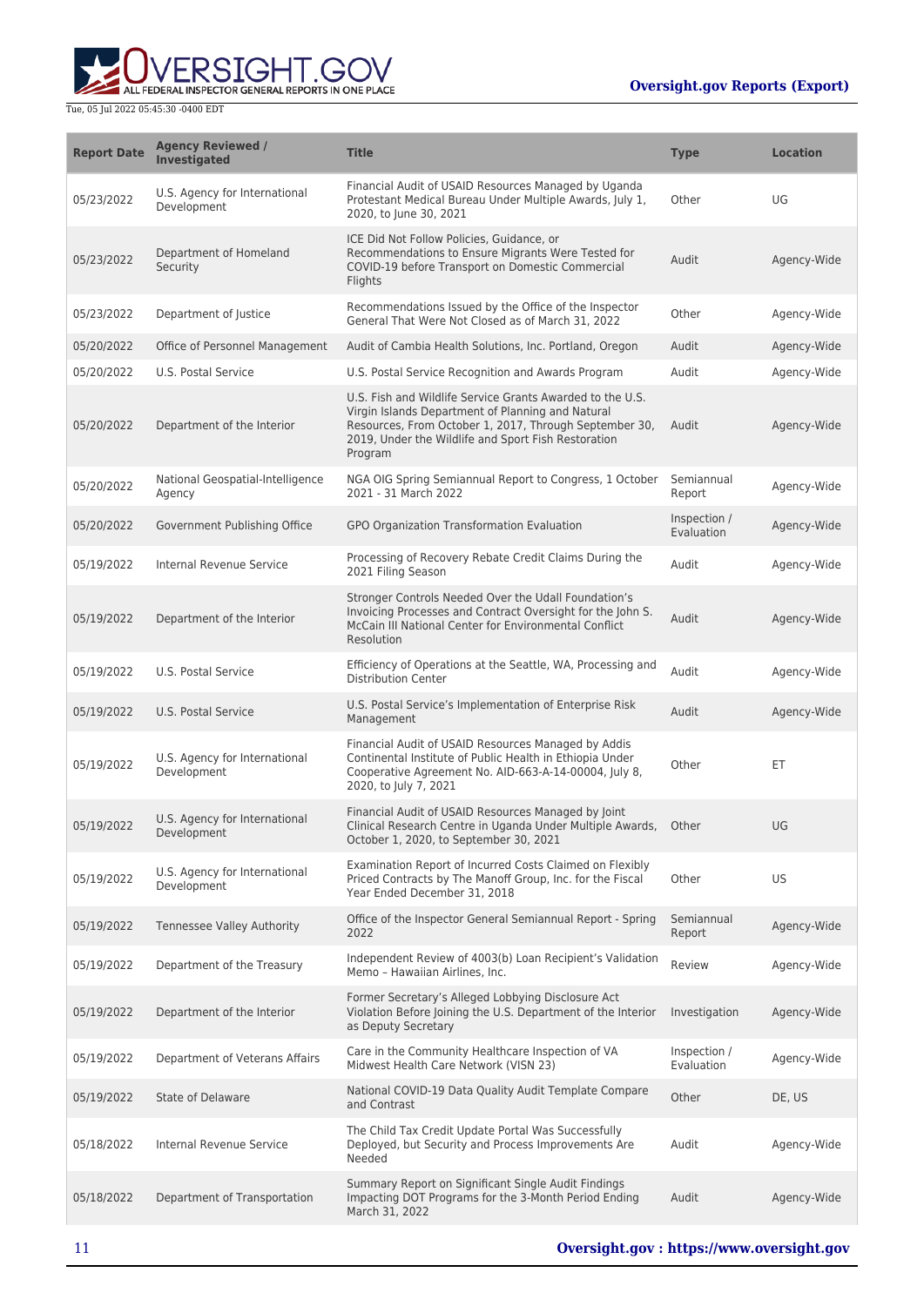

| <b>Report Date</b> | <b>Agency Reviewed /</b><br>Investigated     | <b>Title</b>                                                                                                                                                                                                                               | <b>Type</b>                | <b>Location</b> |
|--------------------|----------------------------------------------|--------------------------------------------------------------------------------------------------------------------------------------------------------------------------------------------------------------------------------------------|----------------------------|-----------------|
| 05/23/2022         | U.S. Agency for International<br>Development | Financial Audit of USAID Resources Managed by Uganda<br>Protestant Medical Bureau Under Multiple Awards, July 1,<br>2020, to June 30, 2021                                                                                                 | Other                      | UG              |
| 05/23/2022         | Department of Homeland<br>Security           | ICE Did Not Follow Policies, Guidance, or<br>Recommendations to Ensure Migrants Were Tested for<br>COVID-19 before Transport on Domestic Commercial<br>Flights                                                                             | Audit                      | Agency-Wide     |
| 05/23/2022         | Department of Justice                        | Recommendations Issued by the Office of the Inspector<br>General That Were Not Closed as of March 31, 2022                                                                                                                                 | Other                      | Agency-Wide     |
| 05/20/2022         | Office of Personnel Management               | Audit of Cambia Health Solutions, Inc. Portland, Oregon                                                                                                                                                                                    | Audit                      | Agency-Wide     |
| 05/20/2022         | U.S. Postal Service                          | U.S. Postal Service Recognition and Awards Program                                                                                                                                                                                         | Audit                      | Agency-Wide     |
| 05/20/2022         | Department of the Interior                   | U.S. Fish and Wildlife Service Grants Awarded to the U.S.<br>Virgin Islands Department of Planning and Natural<br>Resources, From October 1, 2017, Through September 30,<br>2019, Under the Wildlife and Sport Fish Restoration<br>Program | Audit                      | Agency-Wide     |
| 05/20/2022         | National Geospatial-Intelligence<br>Agency   | NGA OIG Spring Semiannual Report to Congress, 1 October<br>2021 - 31 March 2022                                                                                                                                                            | Semiannual<br>Report       | Agency-Wide     |
| 05/20/2022         | Government Publishing Office                 | GPO Organization Transformation Evaluation                                                                                                                                                                                                 | Inspection /<br>Evaluation | Agency-Wide     |
| 05/19/2022         | Internal Revenue Service                     | Processing of Recovery Rebate Credit Claims During the<br>2021 Filing Season                                                                                                                                                               | Audit                      | Agency-Wide     |
| 05/19/2022         | Department of the Interior                   | Stronger Controls Needed Over the Udall Foundation's<br>Invoicing Processes and Contract Oversight for the John S.<br>McCain III National Center for Environmental Conflict<br>Resolution                                                  | Audit                      | Agency-Wide     |
| 05/19/2022         | U.S. Postal Service                          | Efficiency of Operations at the Seattle, WA, Processing and<br><b>Distribution Center</b>                                                                                                                                                  | Audit                      | Agency-Wide     |
| 05/19/2022         | <b>U.S. Postal Service</b>                   | U.S. Postal Service's Implementation of Enterprise Risk<br>Management                                                                                                                                                                      | Audit                      | Agency-Wide     |
| 05/19/2022         | U.S. Agency for International<br>Development | Financial Audit of USAID Resources Managed by Addis<br>Continental Institute of Public Health in Ethiopia Under<br>Cooperative Agreement No. AID-663-A-14-00004, July 8,<br>2020, to July 7, 2021                                          | Other                      | ET              |
| 05/19/2022         | U.S. Agency for International<br>Development | Financial Audit of USAID Resources Managed by Joint<br>Clinical Research Centre in Uganda Under Multiple Awards, Other<br>October 1, 2020, to September 30, 2021                                                                           |                            | UG              |
| 05/19/2022         | U.S. Agency for International<br>Development | Examination Report of Incurred Costs Claimed on Flexibly<br>Priced Contracts by The Manoff Group, Inc. for the Fiscal<br>Year Ended December 31, 2018                                                                                      | Other                      | <b>US</b>       |
| 05/19/2022         | Tennessee Valley Authority                   | Office of the Inspector General Semiannual Report - Spring<br>2022                                                                                                                                                                         | Semiannual<br>Report       | Agency-Wide     |
| 05/19/2022         | Department of the Treasury                   | Independent Review of 4003(b) Loan Recipient's Validation<br>Memo - Hawaiian Airlines, Inc.                                                                                                                                                | Review                     | Agency-Wide     |
| 05/19/2022         | Department of the Interior                   | Former Secretary's Alleged Lobbying Disclosure Act<br>Violation Before Joining the U.S. Department of the Interior<br>as Deputy Secretary                                                                                                  | Investigation              | Agency-Wide     |
| 05/19/2022         | Department of Veterans Affairs               | Care in the Community Healthcare Inspection of VA<br>Midwest Health Care Network (VISN 23)                                                                                                                                                 | Inspection /<br>Evaluation | Agency-Wide     |
| 05/19/2022         | <b>State of Delaware</b>                     | National COVID-19 Data Quality Audit Template Compare<br>and Contrast                                                                                                                                                                      | Other                      | DE, US          |
| 05/18/2022         | Internal Revenue Service                     | The Child Tax Credit Update Portal Was Successfully<br>Deployed, but Security and Process Improvements Are<br>Needed                                                                                                                       | Audit                      | Agency-Wide     |
| 05/18/2022         | Department of Transportation                 | Summary Report on Significant Single Audit Findings<br>Impacting DOT Programs for the 3-Month Period Ending<br>March 31, 2022                                                                                                              | Audit                      | Agency-Wide     |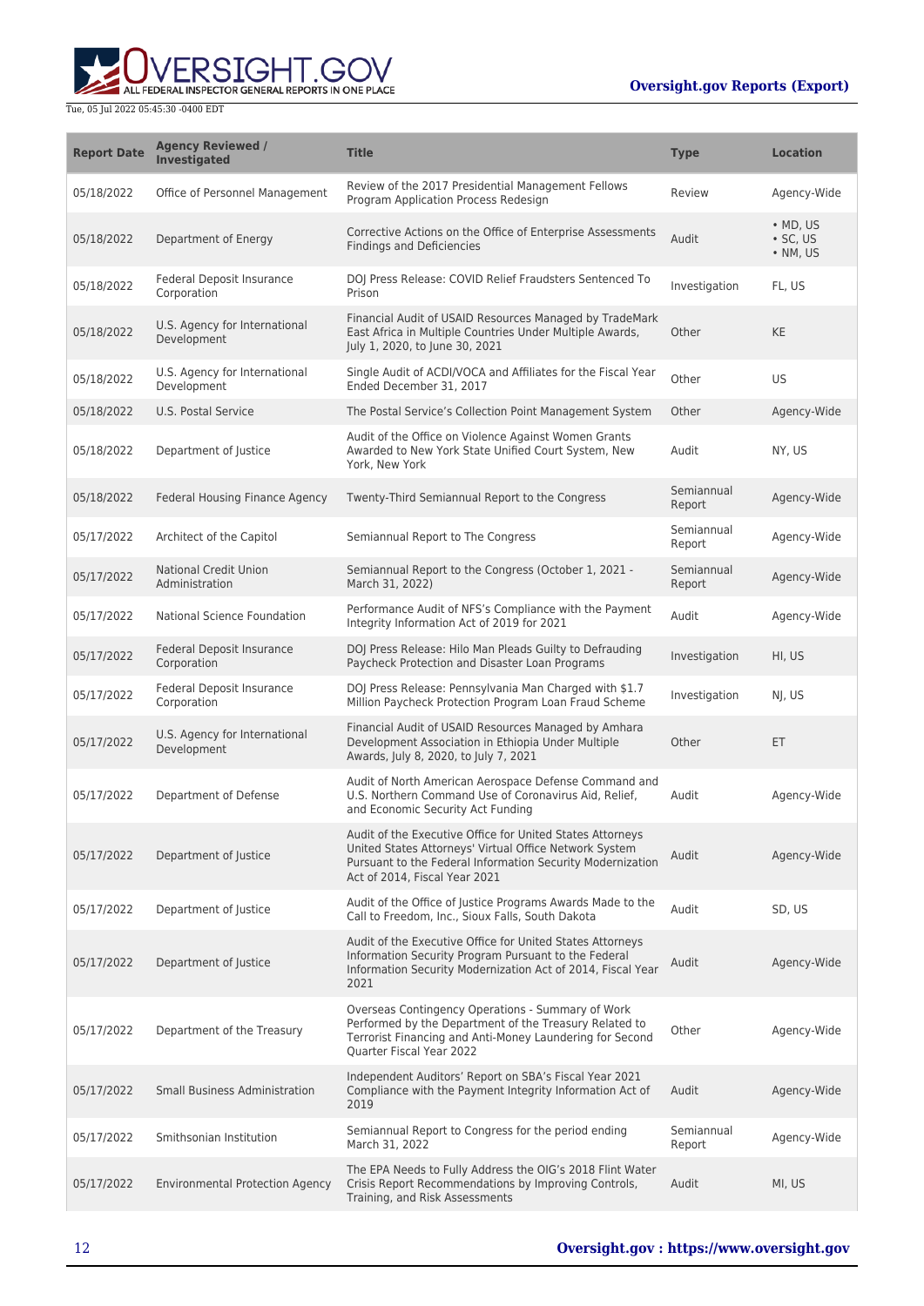ERSIGHT.GOV ALL FEDERAL INSPECTOR GENERAL REPORTS IN ONE PLACE

| <b>Report Date</b> | <b>Agency Reviewed /</b><br><b>Investigated</b> | <b>Title</b>                                                                                                                                                                                                       | <b>Type</b>          | <b>Location</b>                                        |
|--------------------|-------------------------------------------------|--------------------------------------------------------------------------------------------------------------------------------------------------------------------------------------------------------------------|----------------------|--------------------------------------------------------|
| 05/18/2022         | Office of Personnel Management                  | Review of the 2017 Presidential Management Fellows<br>Program Application Process Redesign                                                                                                                         | Review               | Agency-Wide                                            |
| 05/18/2022         | Department of Energy                            | Corrective Actions on the Office of Enterprise Assessments<br><b>Findings and Deficiencies</b>                                                                                                                     | Audit                | $\bullet$ MD, US<br>$\cdot$ SC, US<br>$\bullet$ NM, US |
| 05/18/2022         | Federal Deposit Insurance<br>Corporation        | DOJ Press Release: COVID Relief Fraudsters Sentenced To<br>Prison                                                                                                                                                  | Investigation        | FL, US                                                 |
| 05/18/2022         | U.S. Agency for International<br>Development    | Financial Audit of USAID Resources Managed by TradeMark<br>East Africa in Multiple Countries Under Multiple Awards,<br>July 1, 2020, to June 30, 2021                                                              | Other                | <b>KE</b>                                              |
| 05/18/2022         | U.S. Agency for International<br>Development    | Single Audit of ACDI/VOCA and Affiliates for the Fiscal Year<br>Ended December 31, 2017                                                                                                                            | Other                | <b>US</b>                                              |
| 05/18/2022         | U.S. Postal Service                             | The Postal Service's Collection Point Management System                                                                                                                                                            | Other                | Agency-Wide                                            |
| 05/18/2022         | Department of Justice                           | Audit of the Office on Violence Against Women Grants<br>Awarded to New York State Unified Court System, New<br>York, New York                                                                                      | Audit                | NY, US                                                 |
| 05/18/2022         | Federal Housing Finance Agency                  | Twenty-Third Semiannual Report to the Congress                                                                                                                                                                     | Semiannual<br>Report | Agency-Wide                                            |
| 05/17/2022         | Architect of the Capitol                        | Semiannual Report to The Congress                                                                                                                                                                                  | Semiannual<br>Report | Agency-Wide                                            |
| 05/17/2022         | <b>National Credit Union</b><br>Administration  | Semiannual Report to the Congress (October 1, 2021 -<br>March 31, 2022)                                                                                                                                            | Semiannual<br>Report | Agency-Wide                                            |
| 05/17/2022         | National Science Foundation                     | Performance Audit of NFS's Compliance with the Payment<br>Integrity Information Act of 2019 for 2021                                                                                                               | Audit                | Agency-Wide                                            |
| 05/17/2022         | Federal Deposit Insurance<br>Corporation        | DOJ Press Release: Hilo Man Pleads Guilty to Defrauding<br>Paycheck Protection and Disaster Loan Programs                                                                                                          | Investigation        | HI, US                                                 |
| 05/17/2022         | Federal Deposit Insurance<br>Corporation        | DOJ Press Release: Pennsylvania Man Charged with \$1.7<br>Million Paycheck Protection Program Loan Fraud Scheme                                                                                                    | Investigation        | NJ, US                                                 |
| 05/17/2022         | U.S. Agency for International<br>Development    | Financial Audit of USAID Resources Managed by Amhara<br>Development Association in Ethiopia Under Multiple<br>Awards, July 8, 2020, to July 7, 2021                                                                | Other                | ET                                                     |
| 05/17/2022         | Department of Defense                           | Audit of North American Aerospace Defense Command and<br>U.S. Northern Command Use of Coronavirus Aid, Relief,<br>and Economic Security Act Funding                                                                | Audit                | Agency-Wide                                            |
| 05/17/2022         | Department of Justice                           | Audit of the Executive Office for United States Attorneys<br>United States Attorneys' Virtual Office Network System<br>Pursuant to the Federal Information Security Modernization<br>Act of 2014, Fiscal Year 2021 | Audit                | Agency-Wide                                            |
| 05/17/2022         | Department of Justice                           | Audit of the Office of Justice Programs Awards Made to the<br>Call to Freedom, Inc., Sioux Falls, South Dakota                                                                                                     | Audit                | SD. US                                                 |
| 05/17/2022         | Department of Justice                           | Audit of the Executive Office for United States Attorneys<br>Information Security Program Pursuant to the Federal<br>Information Security Modernization Act of 2014, Fiscal Year<br>2021                           | Audit                | Agency-Wide                                            |
| 05/17/2022         | Department of the Treasury                      | Overseas Contingency Operations - Summary of Work<br>Performed by the Department of the Treasury Related to<br>Terrorist Financing and Anti-Money Laundering for Second<br>Quarter Fiscal Year 2022                | Other                | Agency-Wide                                            |
| 05/17/2022         | <b>Small Business Administration</b>            | Independent Auditors' Report on SBA's Fiscal Year 2021<br>Compliance with the Payment Integrity Information Act of<br>2019                                                                                         | Audit                | Agency-Wide                                            |
| 05/17/2022         | Smithsonian Institution                         | Semiannual Report to Congress for the period ending<br>March 31, 2022                                                                                                                                              | Semiannual<br>Report | Agency-Wide                                            |
| 05/17/2022         | <b>Environmental Protection Agency</b>          | The EPA Needs to Fully Address the OIG's 2018 Flint Water<br>Crisis Report Recommendations by Improving Controls,<br>Training, and Risk Assessments                                                                | Audit                | MI, US                                                 |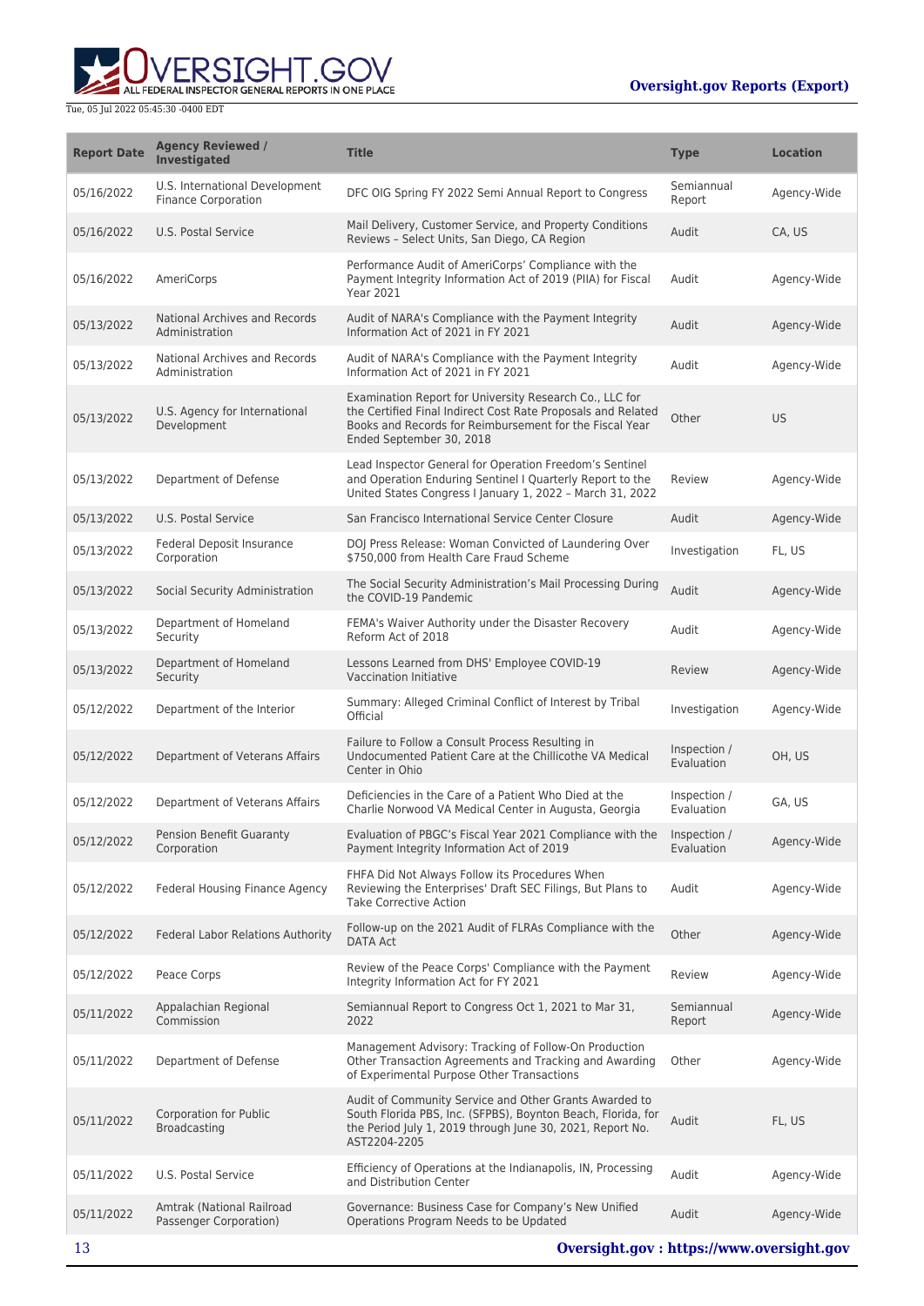

| <b>Report Date</b> | <b>Agency Reviewed /</b><br>Investigated                     | <b>Title</b>                                                                                                                                                                                                   | <b>Type</b>                | <b>Location</b> |
|--------------------|--------------------------------------------------------------|----------------------------------------------------------------------------------------------------------------------------------------------------------------------------------------------------------------|----------------------------|-----------------|
| 05/16/2022         | U.S. International Development<br><b>Finance Corporation</b> | DFC OIG Spring FY 2022 Semi Annual Report to Congress                                                                                                                                                          | Semiannual<br>Report       | Agency-Wide     |
| 05/16/2022         | U.S. Postal Service                                          | Mail Delivery, Customer Service, and Property Conditions<br>Reviews - Select Units, San Diego, CA Region                                                                                                       | Audit                      | CA, US          |
| 05/16/2022         | AmeriCorps                                                   | Performance Audit of AmeriCorps' Compliance with the<br>Payment Integrity Information Act of 2019 (PIIA) for Fiscal<br><b>Year 2021</b>                                                                        | Audit                      | Agency-Wide     |
| 05/13/2022         | National Archives and Records<br>Administration              | Audit of NARA's Compliance with the Payment Integrity<br>Information Act of 2021 in FY 2021                                                                                                                    | Audit                      | Agency-Wide     |
| 05/13/2022         | National Archives and Records<br>Administration              | Audit of NARA's Compliance with the Payment Integrity<br>Information Act of 2021 in FY 2021                                                                                                                    | Audit                      | Agency-Wide     |
| 05/13/2022         | U.S. Agency for International<br>Development                 | Examination Report for University Research Co., LLC for<br>the Certified Final Indirect Cost Rate Proposals and Related<br>Books and Records for Reimbursement for the Fiscal Year<br>Ended September 30, 2018 | Other                      | <b>US</b>       |
| 05/13/2022         | Department of Defense                                        | Lead Inspector General for Operation Freedom's Sentinel<br>and Operation Enduring Sentinel I Quarterly Report to the<br>United States Congress I January 1, 2022 - March 31, 2022                              | Review                     | Agency-Wide     |
| 05/13/2022         | U.S. Postal Service                                          | San Francisco International Service Center Closure                                                                                                                                                             | Audit                      | Agency-Wide     |
| 05/13/2022         | <b>Federal Deposit Insurance</b><br>Corporation              | DOJ Press Release: Woman Convicted of Laundering Over<br>\$750,000 from Health Care Fraud Scheme                                                                                                               | Investigation              | FL, US          |
| 05/13/2022         | Social Security Administration                               | The Social Security Administration's Mail Processing During<br>the COVID-19 Pandemic                                                                                                                           | Audit                      | Agency-Wide     |
| 05/13/2022         | Department of Homeland<br>Security                           | FEMA's Waiver Authority under the Disaster Recovery<br>Reform Act of 2018                                                                                                                                      | Audit                      | Agency-Wide     |
| 05/13/2022         | Department of Homeland<br>Security                           | Lessons Learned from DHS' Employee COVID-19<br>Vaccination Initiative                                                                                                                                          | Review                     | Agency-Wide     |
| 05/12/2022         | Department of the Interior                                   | Summary: Alleged Criminal Conflict of Interest by Tribal<br>Official                                                                                                                                           | Investigation              | Agency-Wide     |
| 05/12/2022         | Department of Veterans Affairs                               | Failure to Follow a Consult Process Resulting in<br>Undocumented Patient Care at the Chillicothe VA Medical<br>Center in Ohio                                                                                  | Inspection /<br>Evaluation | OH, US          |
| 05/12/2022         | Department of Veterans Affairs                               | Deficiencies in the Care of a Patient Who Died at the<br>Charlie Norwood VA Medical Center in Augusta, Georgia                                                                                                 | Inspection /<br>Evaluation | GA, US          |
| 05/12/2022         | <b>Pension Benefit Guaranty</b><br>Corporation               | Evaluation of PBGC's Fiscal Year 2021 Compliance with the Inspection /<br>Payment Integrity Information Act of 2019                                                                                            | Evaluation                 | Agency-Wide     |
| 05/12/2022         | Federal Housing Finance Agency                               | FHFA Did Not Always Follow its Procedures When<br>Reviewing the Enterprises' Draft SEC Filings, But Plans to<br><b>Take Corrective Action</b>                                                                  | Audit                      | Agency-Wide     |
| 05/12/2022         | Federal Labor Relations Authority                            | Follow-up on the 2021 Audit of FLRAs Compliance with the<br><b>DATA Act</b>                                                                                                                                    | Other                      | Agency-Wide     |
| 05/12/2022         | Peace Corps                                                  | Review of the Peace Corps' Compliance with the Payment<br>Integrity Information Act for FY 2021                                                                                                                | Review                     | Agency-Wide     |
| 05/11/2022         | Appalachian Regional<br>Commission                           | Semiannual Report to Congress Oct 1, 2021 to Mar 31,<br>2022                                                                                                                                                   | Semiannual<br>Report       | Agency-Wide     |
| 05/11/2022         | Department of Defense                                        | Management Advisory: Tracking of Follow-On Production<br>Other Transaction Agreements and Tracking and Awarding<br>of Experimental Purpose Other Transactions                                                  | Other                      | Agency-Wide     |
| 05/11/2022         | <b>Corporation for Public</b><br><b>Broadcasting</b>         | Audit of Community Service and Other Grants Awarded to<br>South Florida PBS, Inc. (SFPBS), Boynton Beach, Florida, for<br>the Period July 1, 2019 through June 30, 2021, Report No.<br>AST2204-2205            | Audit                      | FL, US          |
| 05/11/2022         | U.S. Postal Service                                          | Efficiency of Operations at the Indianapolis, IN, Processing<br>and Distribution Center                                                                                                                        | Audit                      | Agency-Wide     |
| 05/11/2022         | Amtrak (National Railroad<br>Passenger Corporation)          | Governance: Business Case for Company's New Unified<br>Operations Program Needs to be Updated                                                                                                                  | Audit                      | Agency-Wide     |